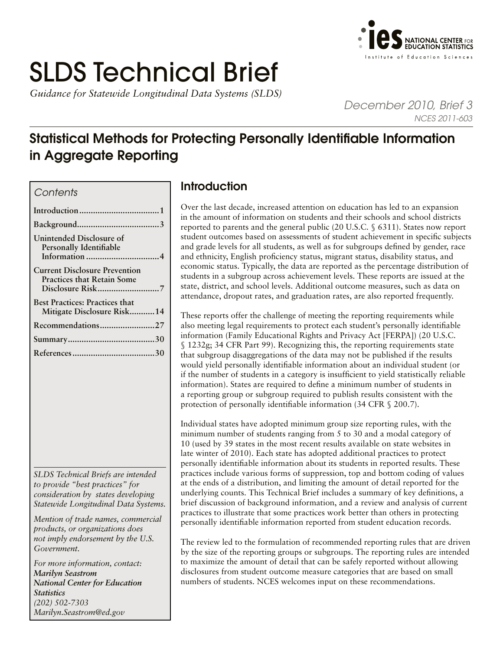# SLDS Technical Brief

*Guidance for Statewide Longitudinal Data Systems (SLDS)* 



*December 2010, Brief 3 NCES 2011-603*

## Statistical Methods for Protecting Personally Identifiable Information in Aggregate Reporting

### *Contents*

| Unintended Disclosure of<br><b>Personally Identifiable</b>                |
|---------------------------------------------------------------------------|
| <b>Current Disclosure Prevention</b><br><b>Practices that Retain Some</b> |
| <b>Best Practices: Practices that</b><br>Mitigate Disclosure Risk14       |
| Recommendations27                                                         |
|                                                                           |
|                                                                           |

*SLDS Technical Briefs are intended to provide "best practices" for consideration by states developing Statewide Longitudinal Data Systems.* 

*Mention of trade names, commercial products, or organizations does not imply endorsement by the U.S. Government.*

*For more information, contact: Marilyn Seastrom National Center for Education Statistics (202) 502-7303 [Marilyn.Seastrom@ed.gov](mailto:Marilyn.Seastrom%40ed.gov?subject=)*

## Introduction

Over the last decade, increased attention on education has led to an expansion in the amount of information on students and their schools and school districts reported to parents and the general public (20 U.S.C. § 6311). States now report student outcomes based on assessments of student achievement in specific subjects and grade levels for all students, as well as for subgroups defined by gender, race and ethnicity, English proficiency status, migrant status, disability status, and economic status. Typically, the data are reported as the percentage distribution of students in a subgroup across achievement levels. These reports are issued at the state, district, and school levels. Additional outcome measures, such as data on attendance, dropout rates, and graduation rates, are also reported frequently.

These reports offer the challenge of meeting the reporting requirements while also meeting legal requirements to protect each student's personally identifiable information (Family Educational Rights and Privacy Act [FERPA]) (20 U.S.C. § 1232g; 34 CFR Part 99). Recognizing this, the reporting requirements state that subgroup disaggregations of the data may not be published if the results would yield personally identifiable information about an individual student (or if the number of students in a category is insufficient to yield statistically reliable information). States are required to define a minimum number of students in a reporting group or subgroup required to publish results consistent with the protection of personally identifiable information (34 CFR § 200.7).

Individual states have adopted minimum group size reporting rules, with the minimum number of students ranging from 5 to 30 and a modal category of 10 (used by 39 states in the most recent results available on state websites in late winter of 2010). Each state has adopted additional practices to protect personally identifiable information about its students in reported results. These practices include various forms of suppression, top and bottom coding of values at the ends of a distribution, and limiting the amount of detail reported for the underlying counts. This Technical Brief includes a summary of key definitions, a brief discussion of background information, and a review and analysis of current practices to illustrate that some practices work better than others in protecting personally identifiable information reported from student education records.

The review led to the formulation of recommended reporting rules that are driven by the size of the reporting groups or subgroups. The reporting rules are intended to maximize the amount of detail that can be safely reported without allowing disclosures from student outcome measure categories that are based on small numbers of students. NCES welcomes input on these recommendations.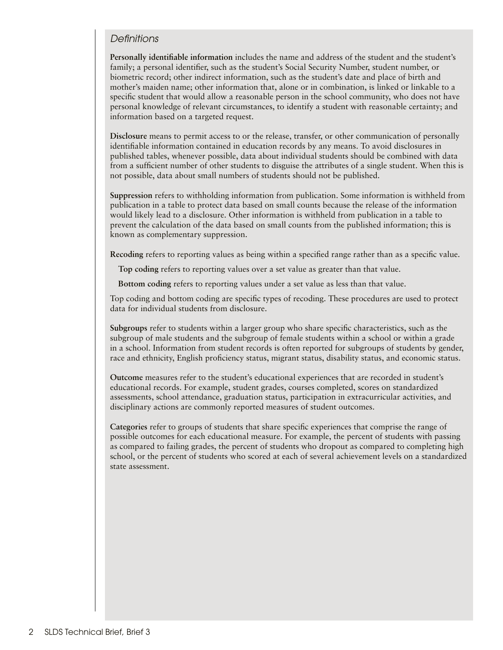## *Definitions*

**Personally identifiable information** includes the name and address of the student and the student's family; a personal identifier, such as the student's Social Security Number, student number, or biometric record; other indirect information, such as the student's date and place of birth and mother's maiden name; other information that, alone or in combination, is linked or linkable to a specific student that would allow a reasonable person in the school community, who does not have personal knowledge of relevant circumstances, to identify a student with reasonable certainty; and information based on a targeted request.

**Disclosure** means to permit access to or the release, transfer, or other communication of personally identifiable information contained in education records by any means. To avoid disclosures in published tables, whenever possible, data about individual students should be combined with data from a sufficient number of other students to disguise the attributes of a single student. When this is not possible, data about small numbers of students should not be published.

**Suppression** refers to withholding information from publication. Some information is withheld from publication in a table to protect data based on small counts because the release of the information would likely lead to a disclosure. Other information is withheld from publication in a table to prevent the calculation of the data based on small counts from the published information; this is known as complementary suppression.

**Recoding** refers to reporting values as being within a specified range rather than as a specific value.

**Top coding** refers to reporting values over a set value as greater than that value.

**Bottom coding** refers to reporting values under a set value as less than that value.

Top coding and bottom coding are specific types of recoding. These procedures are used to protect data for individual students from disclosure.

**Subgroups** refer to students within a larger group who share specific characteristics, such as the subgroup of male students and the subgroup of female students within a school or within a grade in a school. Information from student records is often reported for subgroups of students by gender, race and ethnicity, English proficiency status, migrant status, disability status, and economic status.

**Outcome** measures refer to the student's educational experiences that are recorded in student's educational records. For example, student grades, courses completed, scores on standardized assessments, school attendance, graduation status, participation in extracurricular activities, and disciplinary actions are commonly reported measures of student outcomes.

**Categories** refer to groups of students that share specific experiences that comprise the range of possible outcomes for each educational measure. For example, the percent of students with passing as compared to failing grades, the percent of students who dropout as compared to completing high school, or the percent of students who scored at each of several achievement levels on a standardized state assessment.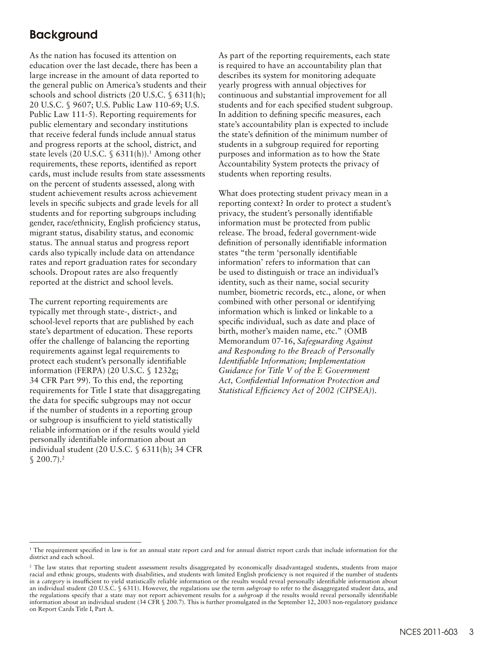## <span id="page-2-0"></span>Background

As the nation has focused its attention on education over the last decade, there has been a large increase in the amount of data reported to the general public on America's students and their schools and school districts (20 U.S.C. § 6311(h); 20 U.S.C. § 9607; U.S. Public Law 110-69; U.S. Public Law 111-5). Reporting requirements for public elementary and secondary institutions that receive federal funds include annual status and progress reports at the school, district, and state levels (20 U.S.C.  $\S$  6311(h)).<sup>1</sup> Among other requirements, these reports, identified as report cards, must include results from state assessments on the percent of students assessed, along with student achievement results across achievement levels in specific subjects and grade levels for all students and for reporting subgroups including gender, race/ethnicity, English proficiency status, migrant status, disability status, and economic status. The annual status and progress report cards also typically include data on attendance rates and report graduation rates for secondary schools. Dropout rates are also frequently reported at the district and school levels.

The current reporting requirements are typically met through state-, district-, and school-level reports that are published by each state's department of education. These reports offer the challenge of balancing the reporting requirements against legal requirements to protect each student's personally identifiable information (FERPA) (20 U.S.C. § 1232g; 34 CFR Part 99). To this end, the reporting requirements for Title I state that disaggregating the data for specific subgroups may not occur if the number of students in a reporting group or subgroup is insufficient to yield statistically reliable information or if the results would yield personally identifiable information about an individual student (20 U.S.C. § 6311(h); 34 CFR  $$200.7$ ).<sup>2</sup>

As part of the reporting requirements, each state is required to have an accountability plan that describes its system for monitoring adequate yearly progress with annual objectives for continuous and substantial improvement for all students and for each specified student subgroup. In addition to defining specific measures, each state's accountability plan is expected to include the state's definition of the minimum number of students in a subgroup required for reporting purposes and information as to how the State Accountability System protects the privacy of students when reporting results.

What does protecting student privacy mean in a reporting context? In order to protect a student's privacy, the student's personally identifiable information must be protected from public release. The broad, federal government-wide definition of personally identifiable information states "the term 'personally identifiable information' refers to information that can be used to distinguish or trace an individual's identity, such as their name, social security number, biometric records, etc., alone, or when combined with other personal or identifying information which is linked or linkable to a specific individual, such as date and place of birth, mother's maiden name, etc." (OMB Memorandum 07-16, *Safeguarding Against and Responding to the Breach of Personally Identifiable Information; Implementation Guidance for Title V of the E Government Act, Confidential Information Protection and Statistical Efficiency Act of 2002 (CIPSEA)*).

<sup>1</sup> The requirement specified in law is for an annual state report card and for annual district report cards that include information for the district and each school.

<sup>&</sup>lt;sup>2</sup> The law states that reporting student assessment results disaggregated by economically disadvantaged students, students from major racial and ethnic groups, students with disabilities, and students with limited English proficiency is not required if the number of students in a *category* is insufficient to yield statistically reliable information or the results would reveal personally identifiable information about an individual student (20 U.S.C. § 6311). However, the regulations use the term *subgroup* to refer to the disaggregated student data, and the regulations specify that a state may not report achievement results for a *subgroup* if the results would reveal personally identifiable information about an individual student (34 CFR § 200.7). This is further promulgated in the September 12, 2003 non-regulatory guidance on Report Cards Title I, Part A.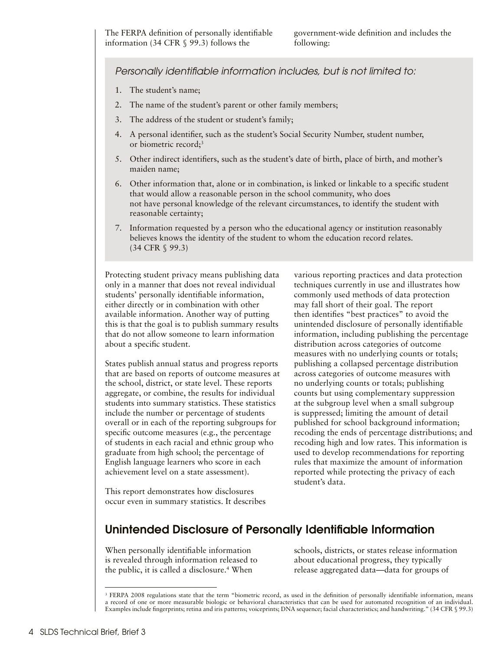## <span id="page-3-0"></span>*Personally identifiable information includes, but is not limited to:*

- 1. The student's name;
- 2. The name of the student's parent or other family members;
- 3. The address of the student or student's family;
- 4. A personal identifier, such as the student's Social Security Number, student number, or biometric record;<sup>3</sup>
- 5. Other indirect identifiers, such as the student's date of birth, place of birth, and mother's maiden name;
- 6. Other information that, alone or in combination, is linked or linkable to a specific student that would allow a reasonable person in the school community, who does not have personal knowledge of the relevant circumstances, to identify the student with reasonable certainty;
- 7. Information requested by a person who the educational agency or institution reasonably believes knows the identity of the student to whom the education record relates. (34 CFR § 99.3)

Protecting student privacy means publishing data only in a manner that does not reveal individual students' personally identifiable information, either directly or in combination with other available information. Another way of putting this is that the goal is to publish summary results that do not allow someone to learn information about a specific student.

States publish annual status and progress reports that are based on reports of outcome measures at the school, district, or state level. These reports aggregate, or combine, the results for individual students into summary statistics. These statistics include the number or percentage of students overall or in each of the reporting subgroups for specific outcome measures (e.g., the percentage of students in each racial and ethnic group who graduate from high school; the percentage of English language learners who score in each achievement level on a state assessment).

This report demonstrates how disclosures occur even in summary statistics. It describes various reporting practices and data protection techniques currently in use and illustrates how commonly used methods of data protection may fall short of their goal. The report then identifies "best practices" to avoid the unintended disclosure of personally identifiable information, including publishing the percentage distribution across categories of outcome measures with no underlying counts or totals; publishing a collapsed percentage distribution across categories of outcome measures with no underlying counts or totals; publishing counts but using complementary suppression at the subgroup level when a small subgroup is suppressed; limiting the amount of detail published for school background information; recoding the ends of percentage distributions; and recoding high and low rates. This information is used to develop recommendations for reporting rules that maximize the amount of information reported while protecting the privacy of each student's data.

## Unintended Disclosure of Personally Identifiable Information

When personally identifiable information is revealed through information released to the public, it is called a disclosure.<sup>4</sup> When

schools, districts, or states release information about educational progress, they typically release aggregated data—data for groups of

<sup>&</sup>lt;sup>3</sup> FERPA 2008 regulations state that the term "biometric record, as used in the definition of personally identifiable information, means a record of one or more measurable biologic or behavioral characteristics that can be used for automated recognition of an individual. Examples include fingerprints; retina and iris patterns; voiceprints; DNA sequence; facial characteristics; and handwriting." (34 CFR § 99.3)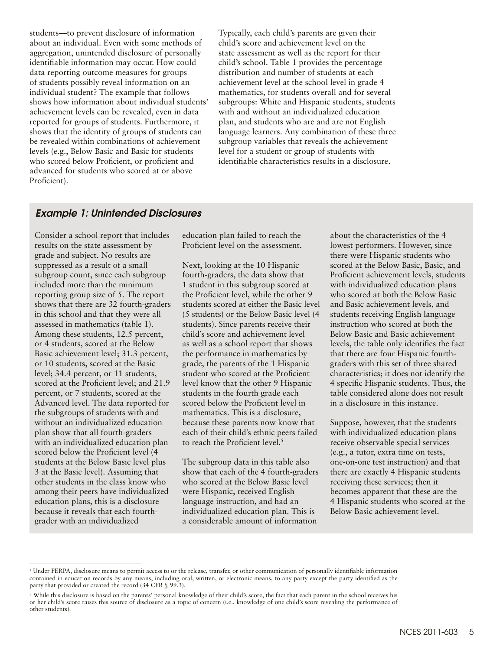students—to prevent disclosure of information about an individual. Even with some methods of aggregation, unintended disclosure of personally identifiable information may occur. How could data reporting outcome measures for groups of students possibly reveal information on an individual student? The example that follows shows how information about individual students' achievement levels can be revealed, even in data reported for groups of students. Furthermore, it shows that the identity of groups of students can be revealed within combinations of achievement levels (e.g., Below Basic and Basic for students who scored below Proficient, or proficient and advanced for students who scored at or above Proficient).

Typically, each child's parents are given their child's score and achievement level on the state assessment as well as the report for their child's school. Table 1 provides the percentage distribution and number of students at each achievement level at the school level in grade 4 mathematics, for students overall and for several subgroups: White and Hispanic students, students with and without an individualized education plan, and students who are and are not English language learners. Any combination of these three subgroup variables that reveals the achievement level for a student or group of students with identifiable characteristics results in a disclosure.

### Example 1: Unintended Disclosures

Consider a school report that includes results on the state assessment by grade and subject. No results are suppressed as a result of a small subgroup count, since each subgroup included more than the minimum reporting group size of 5. The report shows that there are 32 fourth-graders in this school and that they were all assessed in mathematics (table 1). Among these students, 12.5 percent, or 4 students, scored at the Below Basic achievement level; 31.3 percent, or 10 students, scored at the Basic level; 34.4 percent, or 11 students, scored at the Proficient level; and 21.9 percent, or 7 students, scored at the Advanced level. The data reported for the subgroups of students with and without an individualized education plan show that all fourth-graders with an individualized education plan scored below the Proficient level (4 students at the Below Basic level plus 3 at the Basic level). Assuming that other students in the class know who among their peers have individualized education plans, this is a disclosure because it reveals that each fourthgrader with an individualized

education plan failed to reach the Proficient level on the assessment.

Next, looking at the 10 Hispanic fourth-graders, the data show that 1 student in this subgroup scored at the Proficient level, while the other 9 students scored at either the Basic level (5 students) or the Below Basic level (4 students). Since parents receive their child's score and achievement level as well as a school report that shows the performance in mathematics by grade, the parents of the 1 Hispanic student who scored at the Proficient level know that the other 9 Hispanic students in the fourth grade each scored below the Proficient level in mathematics. This is a disclosure, because these parents now know that each of their child's ethnic peers failed to reach the Proficient level.<sup>5</sup>

The subgroup data in this table also show that each of the 4 fourth-graders who scored at the Below Basic level were Hispanic, received English language instruction, and had an individualized education plan. This is a considerable amount of information

about the characteristics of the 4 lowest performers. However, since there were Hispanic students who scored at the Below Basic, Basic, and Proficient achievement levels, students with individualized education plans who scored at both the Below Basic and Basic achievement levels, and students receiving English language instruction who scored at both the Below Basic and Basic achievement levels, the table only identifies the fact that there are four Hispanic fourthgraders with this set of three shared characteristics; it does not identify the 4 specific Hispanic students. Thus, the table considered alone does not result in a disclosure in this instance.

Suppose, however, that the students with individualized education plans receive observable special services (e.g., a tutor, extra time on tests, one-on-one test instruction) and that there are exactly 4 Hispanic students receiving these services; then it becomes apparent that these are the 4 Hispanic students who scored at the Below Basic achievement level.

<sup>4</sup> Under FERPA, disclosure means to permit access to or the release, transfer, or other communication of personally identifiable information contained in education records by any means, including oral, written, or electronic means, to any party except the party identified as the party that provided or created the record (34 CFR § 99.3).

<sup>5</sup> While this disclosure is based on the parents' personal knowledge of their child's score, the fact that each parent in the school receives his or her child's score raises this source of disclosure as a topic of concern (i.e., knowledge of one child's score revealing the performance of other students).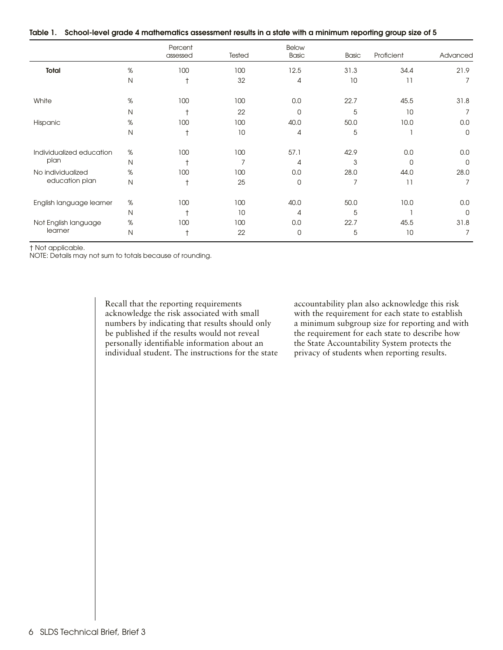|  | Table 1. School-level grade 4 mathematics assessment results in a state with a minimum reporting group size of 5 |  |  |  |  |  |  |
|--|------------------------------------------------------------------------------------------------------------------|--|--|--|--|--|--|
|--|------------------------------------------------------------------------------------------------------------------|--|--|--|--|--|--|

|                                     |              | Percent<br>assessed | Tested | Below<br><b>Basic</b> | <b>Basic</b> | Proficient | Advanced |
|-------------------------------------|--------------|---------------------|--------|-----------------------|--------------|------------|----------|
| Total                               | %            | 100                 | 100    | 12.5                  | 31.3         | 34.4       | 21.9     |
|                                     | $\mathsf{N}$ | $\dagger$           | 32     | $\overline{4}$        | 10           | 11         | 7        |
| White                               | %            | 100                 | 100    | 0.0                   | 22.7         | 45.5       | 31.8     |
|                                     | $\mathsf{N}$ | $^\dagger$          | 22     | $\mathbf 0$           | 5            | 10         | 7        |
| Hispanic                            | $\%$         | 100                 | 100    | 40.0                  | 50.0         | 10.0       | 0.0      |
|                                     | $\mathsf{N}$ |                     | 10     | 4                     | 5            |            | 0        |
| Individualized education            | $\%$         | 100                 | 100    | 57.1                  | 42.9         | 0.0        | 0.0      |
| plan                                | $\mathsf{N}$ | $\ddot{}$           |        | $\overline{A}$        | 3            | 0          | $\Omega$ |
| No individualized<br>education plan | %            | 100                 | 100    | 0.0                   | 28.0         | 44.0       | 28.0     |
|                                     | $\mathsf{N}$ | $\dagger$           | 25     | 0                     | 7            | 11         | 7        |
| English language learner            | %            | 100                 | 100    | 40.0                  | 50.0         | 10.0       | 0.0      |
|                                     | $\mathsf{N}$ |                     | 10     | 4                     | 5            |            | 0        |
| Not English language                | %            | 100                 | 100    | 0.0                   | 22.7         | 45.5       | 31.8     |
| learner                             | $\mathsf{N}$ |                     | 22     | 0                     | 5            | 10         | 7        |

† Not applicable.

NOTE: Details may not sum to totals because of rounding.

Recall that the reporting requirements acknowledge the risk associated with small numbers by indicating that results should only be published if the results would not reveal personally identifiable information about an individual student. The instructions for the state accountability plan also acknowledge this risk with the requirement for each state to establish a minimum subgroup size for reporting and with the requirement for each state to describe how the State Accountability System protects the privacy of students when reporting results.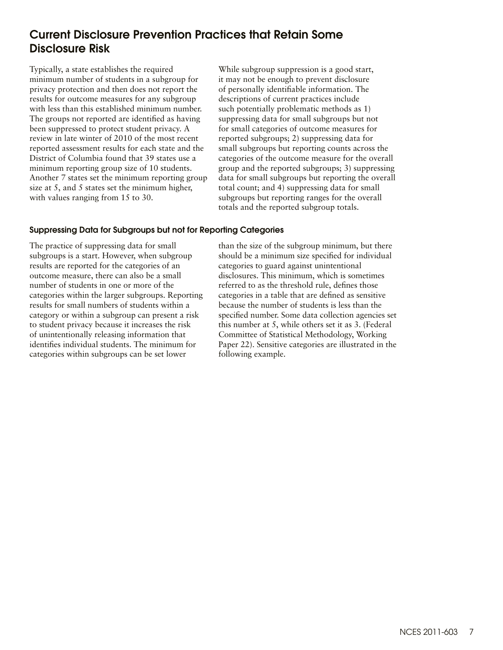## <span id="page-6-0"></span>Current Disclosure Prevention Practices that Retain Some Disclosure Risk

Typically, a state establishes the required minimum number of students in a subgroup for privacy protection and then does not report the results for outcome measures for any subgroup with less than this established minimum number. The groups not reported are identified as having been suppressed to protect student privacy. A review in late winter of 2010 of the most recent reported assessment results for each state and the District of Columbia found that 39 states use a minimum reporting group size of 10 students. Another 7 states set the minimum reporting group size at 5, and 5 states set the minimum higher, with values ranging from 15 to 30.

While subgroup suppression is a good start, it may not be enough to prevent disclosure of personally identifiable information. The descriptions of current practices include such potentially problematic methods as 1) suppressing data for small subgroups but not for small categories of outcome measures for reported subgroups; 2) suppressing data for small subgroups but reporting counts across the categories of the outcome measure for the overall group and the reported subgroups; 3) suppressing data for small subgroups but reporting the overall total count; and 4) suppressing data for small subgroups but reporting ranges for the overall totals and the reported subgroup totals.

#### Suppressing Data for Subgroups but not for Reporting Categories

The practice of suppressing data for small subgroups is a start. However, when subgroup results are reported for the categories of an outcome measure, there can also be a small number of students in one or more of the categories within the larger subgroups. Reporting results for small numbers of students within a category or within a subgroup can present a risk to student privacy because it increases the risk of unintentionally releasing information that identifies individual students. The minimum for categories within subgroups can be set lower

than the size of the subgroup minimum, but there should be a minimum size specified for individual categories to guard against unintentional disclosures. This minimum, which is sometimes referred to as the threshold rule, defines those categories in a table that are defined as sensitive because the number of students is less than the specified number. Some data collection agencies set this number at 5, while others set it as 3. (Federal Committee of Statistical Methodology, Working Paper 22). Sensitive categories are illustrated in the following example.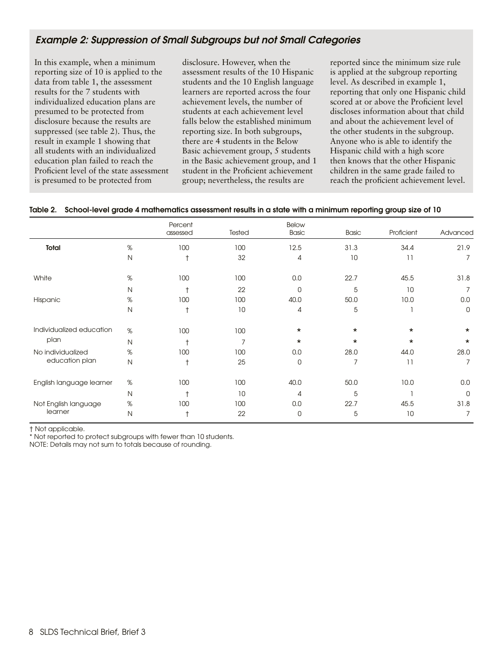## Example 2: Suppression of Small Subgroups but not Small Categories

In this example, when a minimum reporting size of 10 is applied to the data from table 1, the assessment results for the 7 students with individualized education plans are presumed to be protected from disclosure because the results are suppressed (see table 2). Thus, the result in example 1 showing that all students with an individualized education plan failed to reach the Proficient level of the state assessment is presumed to be protected from

disclosure. However, when the assessment results of the 10 Hispanic students and the 10 English language learners are reported across the four achievement levels, the number of students at each achievement level falls below the established minimum reporting size. In both subgroups, there are 4 students in the Below Basic achievement group, 5 students in the Basic achievement group, and 1 student in the Proficient achievement group; nevertheless, the results are

reported since the minimum size rule is applied at the subgroup reporting level. As described in example 1, reporting that only one Hispanic child scored at or above the Proficient level discloses information about that child and about the achievement level of the other students in the subgroup. Anyone who is able to identify the Hispanic child with a high score then knows that the other Hispanic children in the same grade failed to reach the proficient achievement level.

|                          |      | Percent<br>assessed | Tested | <b>Below</b><br><b>Basic</b> | <b>Basic</b> | Proficient | Advanced    |
|--------------------------|------|---------------------|--------|------------------------------|--------------|------------|-------------|
| Total                    | %    | 100                 | 100    | 12.5                         | 31.3         | 34.4       | 21.9        |
|                          | N    | $\ddagger$          | 32     | $\overline{4}$               | 10           | 11         | 7           |
| White                    | $\%$ | 100                 | 100    | 0.0                          | 22.7         | 45.5       | 31.8        |
|                          | N    | t                   | 22     | $\Omega$                     | 5            | 10         |             |
| Hispanic                 | %    | 100                 | 100    | 40.0                         | 50.0         | 10.0       | 0.0         |
|                          | N    | t                   | 10     | $\overline{4}$               | 5            |            | $\mathbf 0$ |
| Individualized education | $\%$ | 100                 | 100    | $^\star$                     | $\star$      | $\star$    | $^\star$    |
| plan                     | N    | $^{\dagger}$        | 7      | $\star$                      | $\star$      | $\star$    | $\star$     |
| No individualized        | %    | 100                 | 100    | 0.0                          | 28.0         | 44.0       | 28.0        |
| education plan           | N    | $\ddagger$          | 25     | $\mathbf 0$                  | 7            | 11         | 7           |
| English language learner | %    | 100                 | 100    | 40.0                         | 50.0         | 10.0       | 0.0         |
|                          | N    | $^{\dagger}$        | 10     | $\overline{4}$               | 5            |            | $\Omega$    |
| Not English language     | $\%$ | 100                 | 100    | 0.0                          | 22.7         | 45.5       | 31.8        |
| learner                  | N    | $\ddagger$          | 22     | $\overline{0}$               | 5            | 10         | 7           |

#### Table 2. School-level grade 4 mathematics assessment results in a state with a minimum reporting group size of 10

† Not applicable.

\* Not reported to protect subgroups with fewer than 10 students.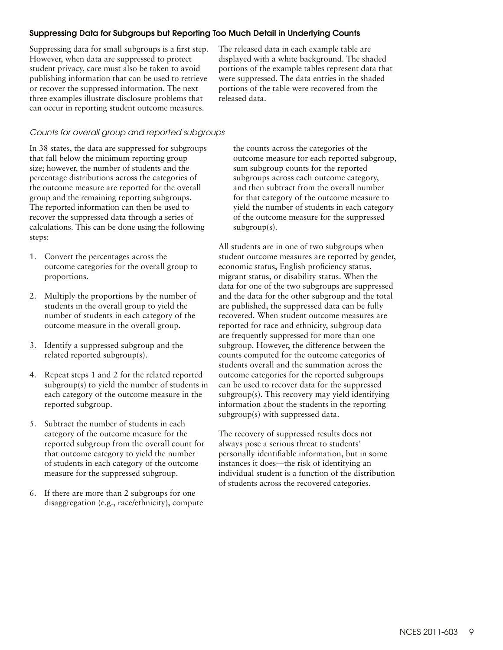#### Suppressing Data for Subgroups but Reporting Too Much Detail in Underlying Counts

Suppressing data for small subgroups is a first step. However, when data are suppressed to protect student privacy, care must also be taken to avoid publishing information that can be used to retrieve or recover the suppressed information. The next three examples illustrate disclosure problems that can occur in reporting student outcome measures.

The released data in each example table are displayed with a white background. The shaded portions of the example tables represent data that were suppressed. The data entries in the shaded portions of the table were recovered from the released data.

#### *Counts for overall group and reported subgroups*

In 38 states, the data are suppressed for subgroups that fall below the minimum reporting group size; however, the number of students and the percentage distributions across the categories of the outcome measure are reported for the overall group and the remaining reporting subgroups. The reported information can then be used to recover the suppressed data through a series of calculations. This can be done using the following steps:

- 1. Convert the percentages across the outcome categories for the overall group to proportions.
- 2. Multiply the proportions by the number of students in the overall group to yield the number of students in each category of the outcome measure in the overall group.
- 3. Identify a suppressed subgroup and the related reported subgroup(s).
- 4. Repeat steps 1 and 2 for the related reported subgroup(s) to yield the number of students in each category of the outcome measure in the reported subgroup.
- 5. Subtract the number of students in each category of the outcome measure for the reported subgroup from the overall count for that outcome category to yield the number of students in each category of the outcome measure for the suppressed subgroup.
- 6. If there are more than 2 subgroups for one disaggregation (e.g., race/ethnicity), compute

the counts across the categories of the outcome measure for each reported subgroup, sum subgroup counts for the reported subgroups across each outcome category, and then subtract from the overall number for that category of the outcome measure to yield the number of students in each category of the outcome measure for the suppressed subgroup(s).

All students are in one of two subgroups when student outcome measures are reported by gender, economic status, English proficiency status, migrant status, or disability status. When the data for one of the two subgroups are suppressed and the data for the other subgroup and the total are published, the suppressed data can be fully recovered. When student outcome measures are reported for race and ethnicity, subgroup data are frequently suppressed for more than one subgroup. However, the difference between the counts computed for the outcome categories of students overall and the summation across the outcome categories for the reported subgroups can be used to recover data for the suppressed subgroup(s). This recovery may yield identifying information about the students in the reporting subgroup(s) with suppressed data.

The recovery of suppressed results does not always pose a serious threat to students' personally identifiable information, but in some instances it does—the risk of identifying an individual student is a function of the distribution of students across the recovered categories.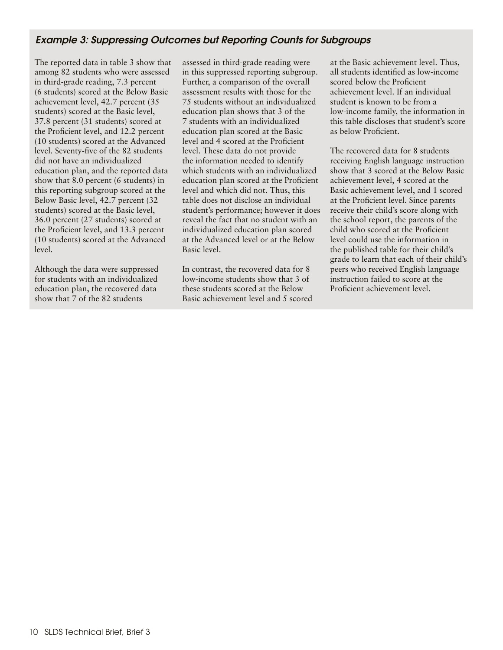## Example 3: Suppressing Outcomes but Reporting Counts for Subgroups

The reported data in table 3 show that among 82 students who were assessed in third-grade reading, 7.3 percent (6 students) scored at the Below Basic achievement level, 42.7 percent (35 students) scored at the Basic level, 37.8 percent (31 students) scored at the Proficient level, and 12.2 percent (10 students) scored at the Advanced level. Seventy-five of the 82 students did not have an individualized education plan, and the reported data show that 8.0 percent (6 students) in this reporting subgroup scored at the Below Basic level, 42.7 percent (32 students) scored at the Basic level, 36.0 percent (27 students) scored at the Proficient level, and 13.3 percent (10 students) scored at the Advanced level.

Although the data were suppressed for students with an individualized education plan, the recovered data show that 7 of the 82 students

assessed in third-grade reading were in this suppressed reporting subgroup. Further, a comparison of the overall assessment results with those for the 75 students without an individualized education plan shows that 3 of the 7 students with an individualized education plan scored at the Basic level and 4 scored at the Proficient level. These data do not provide the information needed to identify which students with an individualized education plan scored at the Proficient level and which did not. Thus, this table does not disclose an individual student's performance; however it does reveal the fact that no student with an individualized education plan scored at the Advanced level or at the Below Basic level.

In contrast, the recovered data for 8 low-income students show that 3 of these students scored at the Below Basic achievement level and 5 scored at the Basic achievement level. Thus, all students identified as low-income scored below the Proficient achievement level. If an individual student is known to be from a low-income family, the information in this table discloses that student's score as below Proficient.

The recovered data for 8 students receiving English language instruction show that 3 scored at the Below Basic achievement level, 4 scored at the Basic achievement level, and 1 scored at the Proficient level. Since parents receive their child's score along with the school report, the parents of the child who scored at the Proficient level could use the information in the published table for their child's grade to learn that each of their child's peers who received English language instruction failed to score at the Proficient achievement level.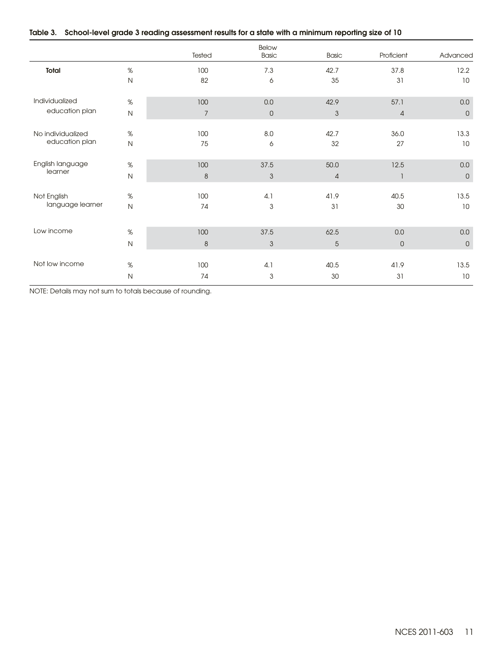|  | Table 3. School-level grade 3 reading assessment results for a state with a minimum reporting size of 10 |  |  |  |  |  |  |  |  |
|--|----------------------------------------------------------------------------------------------------------|--|--|--|--|--|--|--|--|
|--|----------------------------------------------------------------------------------------------------------|--|--|--|--|--|--|--|--|

|                   |              | Tested         | Below<br><b>Basic</b> | <b>Basic</b>   | Proficient     | Advanced     |
|-------------------|--------------|----------------|-----------------------|----------------|----------------|--------------|
| Total             | $\%$         | 100            | 7.3                   | 42.7           | 37.8           | 12.2         |
|                   | $\mathsf{N}$ | 82             | 6                     | 35             | 31             | 10           |
| Individualized    | $\%$         | 100            | 0.0                   | 42.9           | 57.1           | 0.0          |
| education plan    | $\mathsf{N}$ | $\overline{7}$ | $\overline{0}$        | 3              | $\overline{4}$ | $\mathsf{O}$ |
| No individualized | $\%$         | 100            | 8.0                   | 42.7           | 36.0           | 13.3         |
| education plan    | $\mathsf{N}$ | 75             | 6                     | 32             | 27             | 10           |
| English language  | $\%$         | 100            | 37.5                  | 50.0           | 12.5           | 0.0          |
| learner           | $\mathsf{N}$ | $\delta$       | $\mathfrak{S}$        | $\overline{4}$ | 1              | $\mathsf D$  |
| Not English       | $\%$         | 100            | 4.1                   | 41.9           | 40.5           | 13.5         |
| language learner  | $\mathsf{N}$ | 74             | 3                     | 31             | 30             | 10           |
| Low income        |              |                |                       |                |                |              |
|                   | $\%$         | 100            | 37.5                  | 62.5           | 0.0            | 0.0          |
|                   | $\mathsf{N}$ | 8              | 3                     | 5              | $\mathbf 0$    | $\mathbf{0}$ |
| Not low income    | $\%$         | 100            | 4.1                   | 40.5           | 41.9           | 13.5         |
|                   | N            | 74             | 3                     | 30             | 31             | 10           |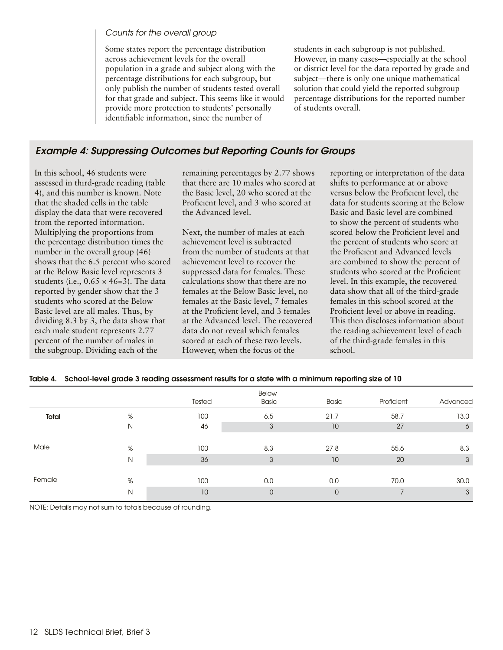#### *Counts for the overall group*

Some states report the percentage distribution across achievement levels for the overall population in a grade and subject along with the percentage distributions for each subgroup, but only publish the number of students tested overall for that grade and subject. This seems like it would provide more protection to students' personally identifiable information, since the number of

students in each subgroup is not published. However, in many cases—especially at the school or district level for the data reported by grade and subject—there is only one unique mathematical solution that could yield the reported subgroup percentage distributions for the reported number of students overall.

## Example 4: Suppressing Outcomes but Reporting Counts for Groups

In this school, 46 students were assessed in third-grade reading (table 4), and this number is known. Note that the shaded cells in the table display the data that were recovered from the reported information. Multiplying the proportions from the percentage distribution times the number in the overall group (46) shows that the 6.5 percent who scored at the Below Basic level represents 3 students (i.e.,  $0.65 \times 46=3$ ). The data reported by gender show that the 3 students who scored at the Below Basic level are all males. Thus, by dividing 8.3 by 3, the data show that each male student represents 2.77 percent of the number of males in the subgroup. Dividing each of the

remaining percentages by 2.77 shows that there are 10 males who scored at the Basic level, 20 who scored at the Proficient level, and 3 who scored at the Advanced level.

Next, the number of males at each achievement level is subtracted from the number of students at that achievement level to recover the suppressed data for females. These calculations show that there are no females at the Below Basic level, no females at the Basic level, 7 females at the Proficient level, and 3 females at the Advanced level. The recovered data do not reveal which females scored at each of these two levels. However, when the focus of the

reporting or interpretation of the data shifts to performance at or above versus below the Proficient level, the data for students scoring at the Below Basic and Basic level are combined to show the percent of students who scored below the Proficient level and the percent of students who score at the Proficient and Advanced levels are combined to show the percent of students who scored at the Proficient level. In this example, the recovered data show that all of the third-grade females in this school scored at the Proficient level or above in reading. This then discloses information about the reading achievement level of each of the third-grade females in this school.

|  | Table 4. School-level grade 3 reading assessment results for a state with a minimum reporting size of 10 |  |  |  |
|--|----------------------------------------------------------------------------------------------------------|--|--|--|
|--|----------------------------------------------------------------------------------------------------------|--|--|--|

|        |   | Tested | Below<br><b>Basic</b> | Basic | Proficient     | Advanced |
|--------|---|--------|-----------------------|-------|----------------|----------|
| Total  | % | 100    | 6.5                   | 21.7  | 58.7           | 13.0     |
|        | N | 46     | 3                     | 10    | 27             | 6        |
|        |   |        |                       |       |                |          |
| Male   | % | 100    | 8.3                   | 27.8  | 55.6           | 8.3      |
|        | N | 36     | 3                     | 10    | 20             | 3        |
|        |   |        |                       |       |                |          |
| Female | % | 100    | 0.0                   | 0.0   | 70.0           | 30.0     |
|        | N | 10     | $\mathbf 0$           | 0     | $\overline{ }$ | 3        |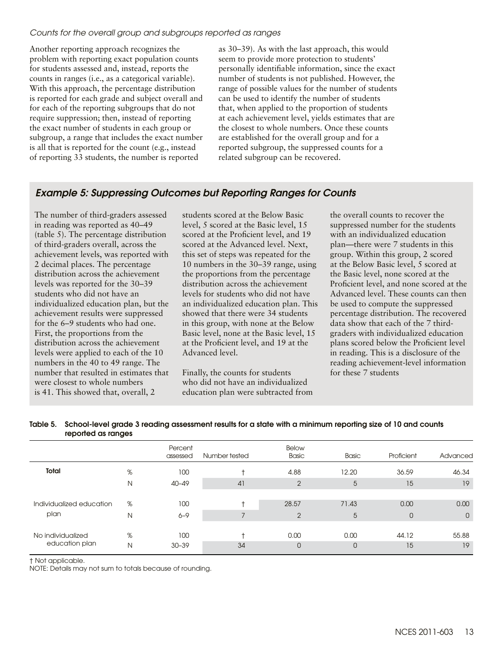#### *Counts for the overall group and subgroups reported as ranges*

Another reporting approach recognizes the problem with reporting exact population counts for students assessed and, instead, reports the counts in ranges (i.e., as a categorical variable). With this approach, the percentage distribution is reported for each grade and subject overall and for each of the reporting subgroups that do not require suppression; then, instead of reporting the exact number of students in each group or subgroup, a range that includes the exact number is all that is reported for the count (e.g., instead of reporting 33 students, the number is reported

as 30–39). As with the last approach, this would seem to provide more protection to students' personally identifiable information, since the exact number of students is not published. However, the range of possible values for the number of students can be used to identify the number of students that, when applied to the proportion of students at each achievement level, yields estimates that are the closest to whole numbers. Once these counts are established for the overall group and for a reported subgroup, the suppressed counts for a related subgroup can be recovered.

## Example 5: Suppressing Outcomes but Reporting Ranges for Counts

The number of third-graders assessed in reading was reported as 40–49 (table 5). The percentage distribution of third-graders overall, across the achievement levels, was reported with 2 decimal places. The percentage distribution across the achievement levels was reported for the 30–39 students who did not have an individualized education plan, but the achievement results were suppressed for the 6–9 students who had one. First, the proportions from the distribution across the achievement levels were applied to each of the 10 numbers in the 40 to 49 range. The number that resulted in estimates that were closest to whole numbers is 41. This showed that, overall, 2

students scored at the Below Basic level, 5 scored at the Basic level, 15 scored at the Proficient level, and 19 scored at the Advanced level. Next, this set of steps was repeated for the 10 numbers in the 30–39 range, using the proportions from the percentage distribution across the achievement levels for students who did not have an individualized education plan. This showed that there were 34 students in this group, with none at the Below Basic level, none at the Basic level, 15 at the Proficient level, and 19 at the Advanced level.

Finally, the counts for students who did not have an individualized education plan were subtracted from the overall counts to recover the suppressed number for the students with an individualized education plan—there were 7 students in this group. Within this group, 2 scored at the Below Basic level, 5 scored at the Basic level, none scored at the Proficient level, and none scored at the Advanced level. These counts can then be used to compute the suppressed percentage distribution. The recovered data show that each of the 7 thirdgraders with individualized education plans scored below the Proficient level in reading. This is a disclosure of the reading achievement-level information for these 7 students

|                                     |   | Percent<br>assessed | Number tested | Below<br><b>Basic</b> | <b>Basic</b> | Proficient     | Advanced     |
|-------------------------------------|---|---------------------|---------------|-----------------------|--------------|----------------|--------------|
| Total                               | % | 100                 |               | 4.88                  | 12.20        | 36.59          | 46.34        |
|                                     | N | $40 - 49$           | 41            | $\overline{2}$        | 5            | 15             | 19           |
|                                     |   |                     |               |                       |              |                |              |
| Individualized education            | % | 100                 |               | 28.57                 | 71.43        | 0.00           | 0.00         |
| plan                                | N | $6 - 9$             |               | $\overline{2}$        | 5            | $\overline{0}$ | $\mathbf{0}$ |
|                                     |   |                     |               |                       |              |                |              |
| No individualized<br>education plan | % | 100                 |               | 0.00                  | 0.00         | 44.12          | 55.88        |
|                                     | N | $30 - 39$           | 34            | $\mathbf{0}$          | $\Omega$     | 15             | 19           |

#### Table 5. School-level grade 3 reading assessment results for a state with a minimum reporting size of 10 and counts reported as ranges

† Not applicable.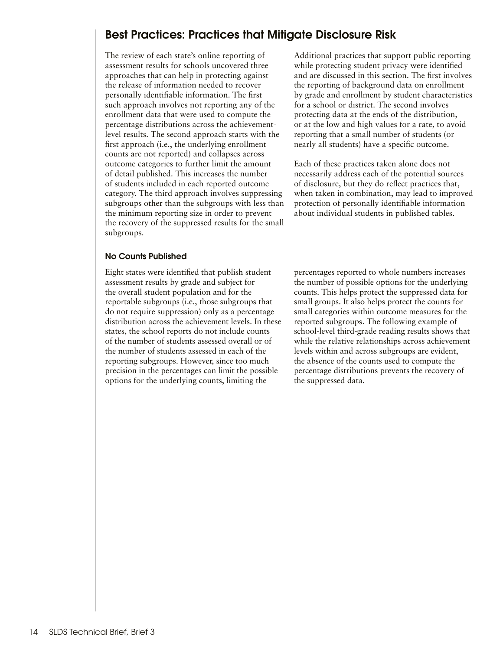## <span id="page-13-0"></span>Best Practices: Practices that Mitigate Disclosure Risk

The review of each state's online reporting of assessment results for schools uncovered three approaches that can help in protecting against the release of information needed to recover personally identifiable information. The first such approach involves not reporting any of the enrollment data that were used to compute the percentage distributions across the achievementlevel results. The second approach starts with the first approach (i.e., the underlying enrollment counts are not reported) and collapses across outcome categories to further limit the amount of detail published. This increases the number of students included in each reported outcome category. The third approach involves suppressing subgroups other than the subgroups with less than the minimum reporting size in order to prevent the recovery of the suppressed results for the small subgroups.

#### No Counts Published

Eight states were identified that publish student assessment results by grade and subject for the overall student population and for the reportable subgroups (i.e., those subgroups that do not require suppression) only as a percentage distribution across the achievement levels. In these states, the school reports do not include counts of the number of students assessed overall or of the number of students assessed in each of the reporting subgroups. However, since too much precision in the percentages can limit the possible options for the underlying counts, limiting the

Additional practices that support public reporting while protecting student privacy were identified and are discussed in this section. The first involves the reporting of background data on enrollment by grade and enrollment by student characteristics for a school or district. The second involves protecting data at the ends of the distribution, or at the low and high values for a rate, to avoid reporting that a small number of students (or nearly all students) have a specific outcome.

Each of these practices taken alone does not necessarily address each of the potential sources of disclosure, but they do reflect practices that, when taken in combination, may lead to improved protection of personally identifiable information about individual students in published tables.

percentages reported to whole numbers increases the number of possible options for the underlying counts. This helps protect the suppressed data for small groups. It also helps protect the counts for small categories within outcome measures for the reported subgroups. The following example of school-level third-grade reading results shows that while the relative relationships across achievement levels within and across subgroups are evident, the absence of the counts used to compute the percentage distributions prevents the recovery of the suppressed data.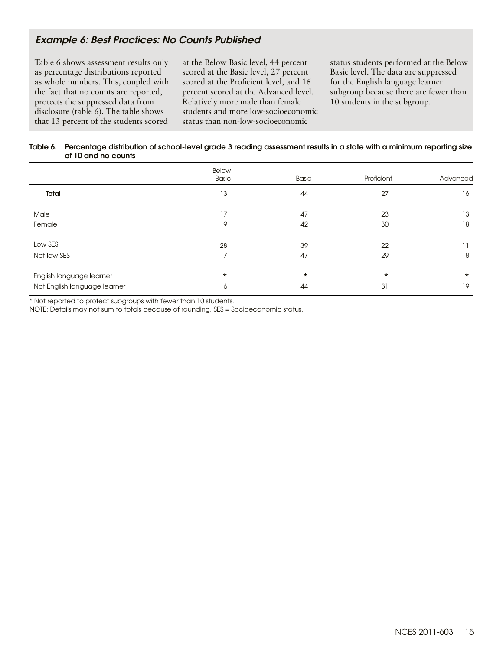## Example 6: Best Practices: No Counts Published

Table 6 shows assessment results only as percentage distributions reported as whole numbers. This, coupled with the fact that no counts are reported, protects the suppressed data from disclosure (table 6). The table shows that 13 percent of the students scored

at the Below Basic level, 44 percent scored at the Basic level, 27 percent scored at the Proficient level, and 16 percent scored at the Advanced level. Relatively more male than female students and more low-socioeconomic status than non-low-socioeconomic

status students performed at the Below Basic level. The data are suppressed for the English language learner subgroup because there are fewer than 10 students in the subgroup.

#### Table 6. Percentage distribution of school-level grade 3 reading assessment results in a state with a minimum reporting size of 10 and no counts

|                              | <b>Below</b><br>Basic | Basic   | Proficient | Advanced |
|------------------------------|-----------------------|---------|------------|----------|
| Total                        | 13                    | 44      | 27         | 16       |
| Male                         | 17                    | 47      | 23         | 13       |
| Female                       | 9                     | 42      | 30         | 18       |
| Low SES                      | 28                    | 39      | 22         | 11       |
| Not low SES                  | $\overline{ }$        | 47      | 29         | 18       |
| English language learner     | $\star$               | $\star$ | $\star$    | $\star$  |
| Not English language learner | 6                     | 44      | 31         | 19       |

\* Not reported to protect subgroups with fewer than 10 students.

NOTE: Details may not sum to totals because of rounding. SES = Socioeconomic status.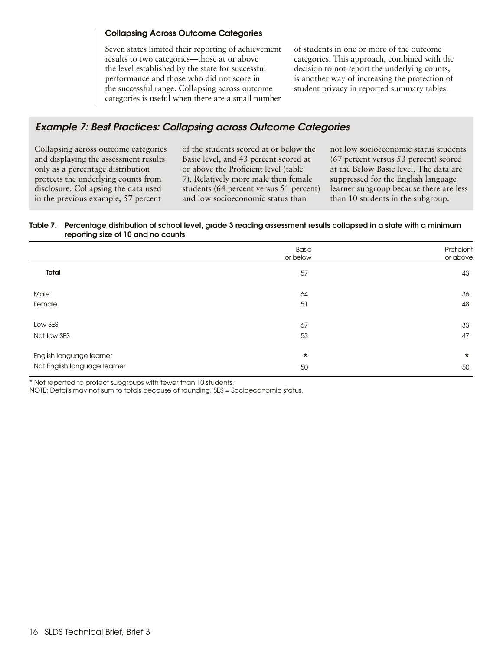#### Collapsing Across Outcome Categories

Seven states limited their reporting of achievement results to two categories—those at or above the level established by the state for successful performance and those who did not score in the successful range. Collapsing across outcome categories is useful when there are a small number of students in one or more of the outcome categories. This approach, combined with the decision to not report the underlying counts, is another way of increasing the protection of student privacy in reported summary tables.

## Example 7: Best Practices: Collapsing across Outcome Categories

Collapsing across outcome categories and displaying the assessment results only as a percentage distribution protects the underlying counts from disclosure. Collapsing the data used in the previous example, 57 percent

of the students scored at or below the Basic level, and 43 percent scored at or above the Proficient level (table 7). Relatively more male then female students (64 percent versus 51 percent) and low socioeconomic status than

not low socioeconomic status students (67 percent versus 53 percent) scored at the Below Basic level. The data are suppressed for the English language learner subgroup because there are less than 10 students in the subgroup.

#### Table 7. Percentage distribution of school level, grade 3 reading assessment results collapsed in a state with a minimum reporting size of 10 and no counts

|                              | <b>Basic</b><br>or below | Proficient<br>or above |
|------------------------------|--------------------------|------------------------|
| Total                        | 57                       | 43                     |
| Male                         | 64                       | 36                     |
| Female                       | 51                       | 48                     |
| Low SES                      | 67                       | 33                     |
| Not low SES                  | 53                       | 47                     |
| English language learner     | $\star$                  | $\star$                |
| Not English language learner | 50                       | 50                     |

\* Not reported to protect subgroups with fewer than 10 students.

NOTE: Details may not sum to totals because of rounding. SES = Socioeconomic status.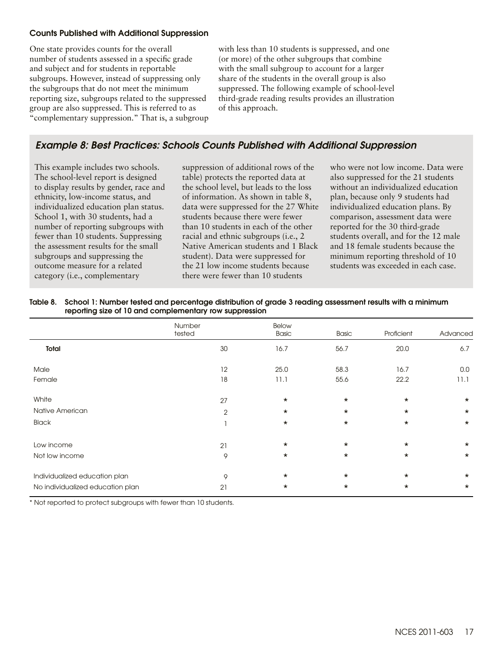#### Counts Published with Additional Suppression

One state provides counts for the overall number of students assessed in a specific grade and subject and for students in reportable subgroups. However, instead of suppressing only the subgroups that do not meet the minimum reporting size, subgroups related to the suppressed group are also suppressed. This is referred to as "complementary suppression." That is, a subgroup with less than 10 students is suppressed, and one (or more) of the other subgroups that combine with the small subgroup to account for a larger share of the students in the overall group is also suppressed. The following example of school-level third-grade reading results provides an illustration of this approach.

## Example 8: Best Practices: Schools Counts Published with Additional Suppression

This example includes two schools. The school-level report is designed to display results by gender, race and ethnicity, low-income status, and individualized education plan status. School 1, with 30 students, had a number of reporting subgroups with fewer than 10 students. Suppressing the assessment results for the small subgroups and suppressing the outcome measure for a related category (i.e., complementary

suppression of additional rows of the table) protects the reported data at the school level, but leads to the loss of information. As shown in table 8, data were suppressed for the 27 White students because there were fewer than 10 students in each of the other racial and ethnic subgroups (i.e., 2 Native American students and 1 Black student). Data were suppressed for the 21 low income students because there were fewer than 10 students

who were not low income. Data were also suppressed for the 21 students without an individualized education plan, because only 9 students had individualized education plans. By comparison, assessment data were reported for the 30 third-grade students overall, and for the 12 male and 18 female students because the minimum reporting threshold of 10 students was exceeded in each case.

| Table 8. School 1: Number tested and percentage distribution of grade 3 reading assessment results with a minimum |
|-------------------------------------------------------------------------------------------------------------------|
| reporting size of 10 and complementary row suppression                                                            |

|                                  | Number<br>tested | Below<br>Basic | <b>Basic</b> | Proficient | Advanced |
|----------------------------------|------------------|----------------|--------------|------------|----------|
| Total                            | 30               | 16.7           | 56.7         | 20.0       | 6.7      |
| Male                             | 12               | 25.0           | 58.3         | 16.7       | 0.0      |
| Female                           | 18               | 11.1           | 55.6         | 22.2       | 11.1     |
| White                            | 27               | $\star$        | $\star$      | $\star$    | $\star$  |
| Native American                  | $\overline{2}$   | $\star$        | $\star$      | $\star$    | $\star$  |
| <b>Black</b>                     |                  | $\star$        | $\star$      | $\star$    | $\star$  |
| Low income                       | 21               | $\star$        | $\star$      | $\star$    | $\star$  |
| Not low income                   | 9                | $\star$        | $\star$      | $\star$    | $\star$  |
| Individualized education plan    | 9                | $\star$        | $\star$      | $\star$    | $\star$  |
| No individualized education plan | 21               | $\star$        | $\star$      | $\star$    | $\star$  |

\* Not reported to protect subgroups with fewer than 10 students.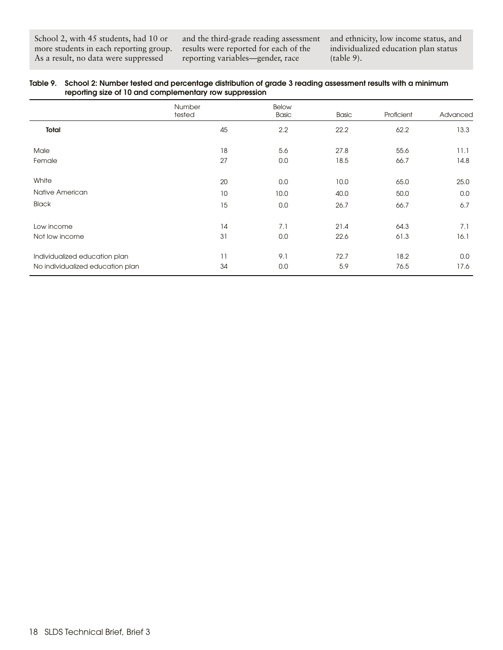School 2, with 45 students, had 10 or more students in each reporting group. As a result, no data were suppressed

and the third-grade reading assessment results were reported for each of the reporting variables—gender, race

and ethnicity, low income status, and individualized education plan status (table 9).

| Table 9. School 2: Number tested and percentage distribution of grade 3 reading assessment results with a minimum |
|-------------------------------------------------------------------------------------------------------------------|
| reporting size of 10 and complementary row suppression                                                            |

|                                                                   | Number<br>tested | Below<br><b>Basic</b> | <b>Basic</b> | Proficient   | Advanced     |
|-------------------------------------------------------------------|------------------|-----------------------|--------------|--------------|--------------|
| Total                                                             | 45               | 2.2                   | 22.2         | 62.2         | 13.3         |
| Male<br>Female                                                    | 18<br>27         | 5.6<br>0.0            | 27.8<br>18.5 | 55.6<br>66.7 | 11.1<br>14.8 |
| White                                                             | 20               | 0.0                   | 10.0         | 65.0         | 25.0         |
| Native American                                                   | 10               | 10.0                  | 40.0         | 50.0         | 0.0          |
| <b>Black</b>                                                      | 15               | 0.0                   | 26.7         | 66.7         | 6.7          |
| Low income<br>Not low income                                      | 14<br>31         | 7.1<br>0.0            | 21.4<br>22.6 | 64.3<br>61.3 | 7.1<br>16.1  |
| Individualized education plan<br>No individualized education plan | 11<br>34         | 9.1<br>0.0            | 72.7<br>5.9  | 18.2<br>76.5 | 0.0<br>17.6  |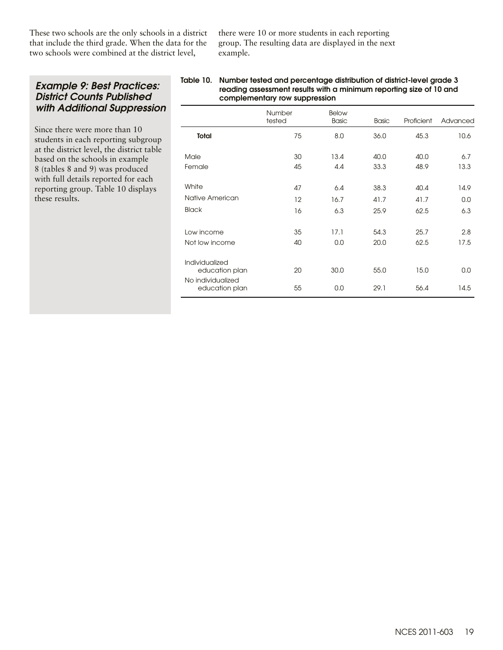These two schools are the only schools in a district that include the third grade. When the data for the two schools were combined at the district level,

there were 10 or more students in each reporting group. The resulting data are displayed in the next example.

## Example 9: Best Practices: District Counts Published with Additional Suppression

Since there were more than 10 students in each reporting subgroup at the district level, the district table based on the schools in example 8 (tables 8 and 9) was produced with full details reported for each reporting group. Table 10 displays these results.

#### Table 10. Number tested and percentage distribution of district-level grade 3 reading assessment results with a minimum reporting size of 10 and complementary row suppression

|                                                       | Number<br>tested | Below<br><b>Basic</b> | <b>Basic</b> | Proficient | Advanced |
|-------------------------------------------------------|------------------|-----------------------|--------------|------------|----------|
| <b>Total</b>                                          | 75               | 8.0                   | 36.0         | 45.3       | 10.6     |
| Male                                                  | 30               | 13.4                  | 40.0         | 40.0       | 6.7      |
| Female                                                | 45               | 4.4                   | 33.3         | 48.9       | 13.3     |
| White                                                 | 47               | 6.4                   | 38.3         | 40.4       | 14.9     |
| Native American                                       | 12               | 16.7                  | 41.7         | 41.7       | 0.0      |
| <b>Black</b>                                          | 16               | 6,3                   | 25.9         | 62.5       | 6.3      |
| Low income                                            | 35               | 17.1                  | 54.3         | 25.7       | 2.8      |
| Not low income                                        | 40               | 0.0                   | 20.0         | 62.5       | 17.5     |
| Individualized<br>education plan<br>No individualized | 20               | 30.0                  | 55.0         | 15.0       | 0.0      |
| education plan                                        | 55               | 0.0                   | 29.1         | 56.4       | 14.5     |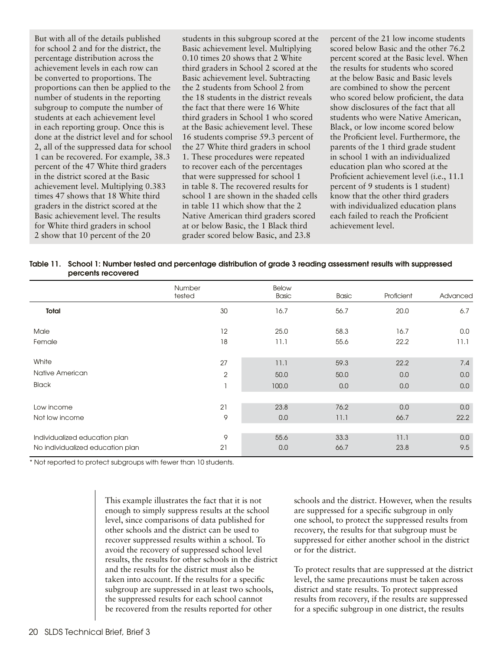But with all of the details published for school 2 and for the district, the percentage distribution across the achievement levels in each row can be converted to proportions. The proportions can then be applied to the number of students in the reporting subgroup to compute the number of students at each achievement level in each reporting group. Once this is done at the district level and for school 2, all of the suppressed data for school 1 can be recovered. For example, 38.3 percent of the 47 White third graders in the district scored at the Basic achievement level. Multiplying 0.383 times 47 shows that 18 White third graders in the district scored at the Basic achievement level. The results for White third graders in school 2 show that 10 percent of the 20

students in this subgroup scored at the Basic achievement level. Multiplying 0.10 times 20 shows that 2 White third graders in School 2 scored at the Basic achievement level. Subtracting the 2 students from School 2 from the 18 students in the district reveals the fact that there were 16 White third graders in School 1 who scored at the Basic achievement level. These 16 students comprise 59.3 percent of the 27 White third graders in school 1. These procedures were repeated to recover each of the percentages that were suppressed for school 1 in table 8. The recovered results for school 1 are shown in the shaded cells in table 11 which show that the 2 Native American third graders scored at or below Basic, the 1 Black third grader scored below Basic, and 23.8

percent of the 21 low income students scored below Basic and the other 76.2 percent scored at the Basic level. When the results for students who scored at the below Basic and Basic levels are combined to show the percent who scored below proficient, the data show disclosures of the fact that all students who were Native American, Black, or low income scored below the Proficient level. Furthermore, the parents of the 1 third grade student in school 1 with an individualized education plan who scored at the Proficient achievement level (i.e., 11.1 percent of 9 students is 1 student) know that the other third graders with individualized education plans each failed to reach the Proficient achievement level.

| Table 11. School 1: Number tested and percentage distribution of grade 3 reading assessment results with suppressed |
|---------------------------------------------------------------------------------------------------------------------|
| percents recovered                                                                                                  |

|                                  | Number<br>tested | <b>Below</b><br>Basic | <b>Basic</b> | Proficient | Advanced |
|----------------------------------|------------------|-----------------------|--------------|------------|----------|
| Total                            | 30               | 16.7                  | 56.7         | 20.0       | 6.7      |
| Male                             | 12               | 25.0                  | 58.3         | 16.7       | 0.0      |
| Female                           | 18               | 11.1                  | 55.6         | 22.2       | 11.1     |
| White                            | 27               | 11.1                  | 59.3         | 22.2       | 7.4      |
| Native American                  | $\overline{2}$   | 50.0                  | 50.0         | 0.0        | 0.0      |
| <b>Black</b>                     |                  | 100.0                 | 0.0          | 0.0        | 0.0      |
|                                  |                  |                       |              |            |          |
| Low income                       | 21               | 23.8                  | 76.2         | 0.0        | 0.0      |
| Not low income                   | 9                | 0.0                   | 11.1         | 66.7       | 22.2     |
|                                  |                  |                       |              |            |          |
| Individualized education plan    | 9                | 55.6                  | 33.3         | 11.1       | 0.0      |
| No individualized education plan | 21               | 0.0                   | 66.7         | 23.8       | 9.5      |

\* Not reported to protect subgroups with fewer than 10 students.

This example illustrates the fact that it is not enough to simply suppress results at the school level, since comparisons of data published for other schools and the district can be used to recover suppressed results within a school. To avoid the recovery of suppressed school level results, the results for other schools in the district and the results for the district must also be taken into account. If the results for a specific subgroup are suppressed in at least two schools, the suppressed results for each school cannot be recovered from the results reported for other

schools and the district. However, when the results are suppressed for a specific subgroup in only one school, to protect the suppressed results from recovery, the results for that subgroup must be suppressed for either another school in the district or for the district.

To protect results that are suppressed at the district level, the same precautions must be taken across district and state results. To protect suppressed results from recovery, if the results are suppressed for a specific subgroup in one district, the results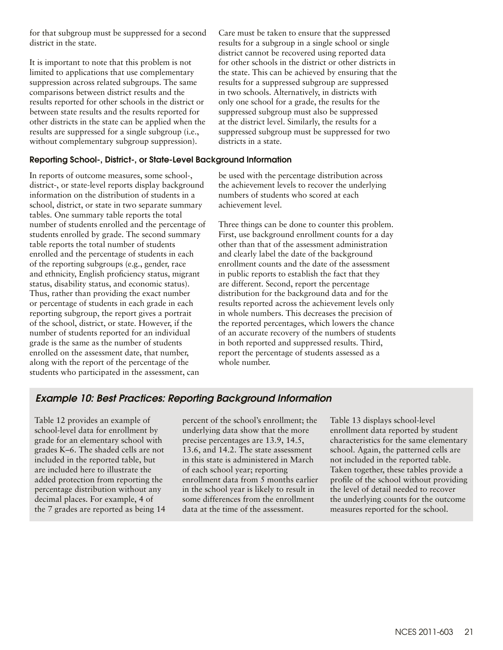for that subgroup must be suppressed for a second district in the state.

It is important to note that this problem is not limited to applications that use complementary suppression across related subgroups. The same comparisons between district results and the results reported for other schools in the district or between state results and the results reported for other districts in the state can be applied when the results are suppressed for a single subgroup (i.e., without complementary subgroup suppression).

#### Reporting School-, District-, or State-Level Background Information

In reports of outcome measures, some school-, district-, or state-level reports display background information on the distribution of students in a school, district, or state in two separate summary tables. One summary table reports the total number of students enrolled and the percentage of students enrolled by grade. The second summary table reports the total number of students enrolled and the percentage of students in each of the reporting subgroups (e.g., gender, race and ethnicity, English proficiency status, migrant status, disability status, and economic status). Thus, rather than providing the exact number or percentage of students in each grade in each reporting subgroup, the report gives a portrait of the school, district, or state. However, if the number of students reported for an individual grade is the same as the number of students enrolled on the assessment date, that number, along with the report of the percentage of the students who participated in the assessment, can

Care must be taken to ensure that the suppressed results for a subgroup in a single school or single district cannot be recovered using reported data for other schools in the district or other districts in the state. This can be achieved by ensuring that the results for a suppressed subgroup are suppressed in two schools. Alternatively, in districts with only one school for a grade, the results for the suppressed subgroup must also be suppressed at the district level. Similarly, the results for a suppressed subgroup must be suppressed for two districts in a state.

be used with the percentage distribution across the achievement levels to recover the underlying numbers of students who scored at each achievement level.

Three things can be done to counter this problem. First, use background enrollment counts for a day other than that of the assessment administration and clearly label the date of the background enrollment counts and the date of the assessment in public reports to establish the fact that they are different. Second, report the percentage distribution for the background data and for the results reported across the achievement levels only in whole numbers. This decreases the precision of the reported percentages, which lowers the chance of an accurate recovery of the numbers of students in both reported and suppressed results. Third, report the percentage of students assessed as a whole number.

## Example 10: Best Practices: Reporting Background Information

Table 12 provides an example of school-level data for enrollment by grade for an elementary school with grades K–6. The shaded cells are not included in the reported table, but are included here to illustrate the added protection from reporting the percentage distribution without any decimal places. For example, 4 of the 7 grades are reported as being 14 percent of the school's enrollment; the underlying data show that the more precise percentages are 13.9, 14.5, 13.6, and 14.2. The state assessment in this state is administered in March of each school year; reporting enrollment data from 5 months earlier in the school year is likely to result in some differences from the enrollment data at the time of the assessment.

Table 13 displays school-level enrollment data reported by student characteristics for the same elementary school. Again, the patterned cells are not included in the reported table. Taken together, these tables provide a profile of the school without providing the level of detail needed to recover the underlying counts for the outcome measures reported for the school.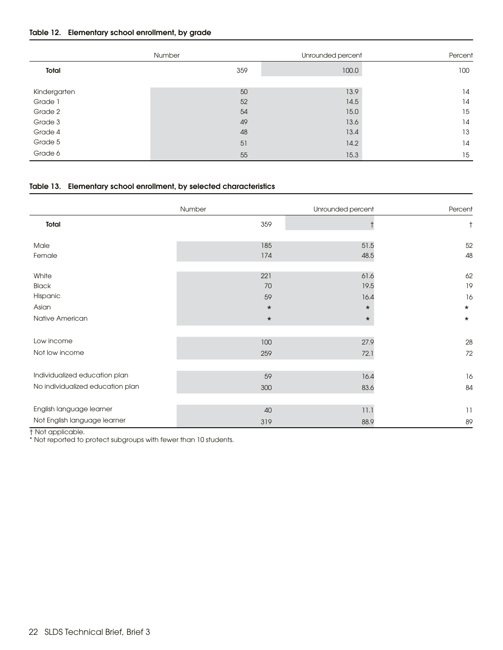#### Table 12. Elementary school enrollment, by grade

|              | Number |     | Unrounded percent | Percent |
|--------------|--------|-----|-------------------|---------|
| Total        |        | 359 | 100.0             | 100     |
|              |        |     |                   |         |
| Kindergarten |        | 50  | 13.9              | 14      |
| Grade 1      |        | 52  | 14.5              | 14      |
| Grade 2      |        | 54  | 15.0              | 15      |
| Grade 3      |        | 49  | 13.6              | 14      |
| Grade 4      |        | 48  | 13.4              | 13      |
| Grade 5      |        | 51  | 14.2              | 14      |
| Grade 6      |        | 55  | 15.3              | 15      |

#### Table 13. Elementary school enrollment, by selected characteristics

|                                  | Number  | Unrounded percent |           |
|----------------------------------|---------|-------------------|-----------|
|                                  |         |                   | Percent   |
| Total                            | 359     |                   | $\dagger$ |
| Male                             | 185     | 51.5              | 52        |
| Female                           | 174     | 48.5              | 48        |
| White                            | 221     | 61.6              | 62        |
| <b>Black</b>                     | 70      | 19.5              | 19        |
| Hispanic                         | 59      | 16.4              | 16        |
| Asian                            | $\star$ | $\star$           | $\star$   |
| Native American                  | $\star$ | $\star$           | $\star$   |
|                                  |         |                   |           |
| Low income                       | 100     | 27.9              | $28\,$    |
| Not low income                   | 259     | 72.1              | 72        |
|                                  |         |                   |           |
| Individualized education plan    | 59      | 16.4              | 16        |
| No individualized education plan | 300     | 83.6              | 84        |
| English language learner         | 40      | 11.1              | 11        |
| Not English language learner     | 319     | 88.9              | 89        |

† Not applicable.

\* Not reported to protect subgroups with fewer than 10 students.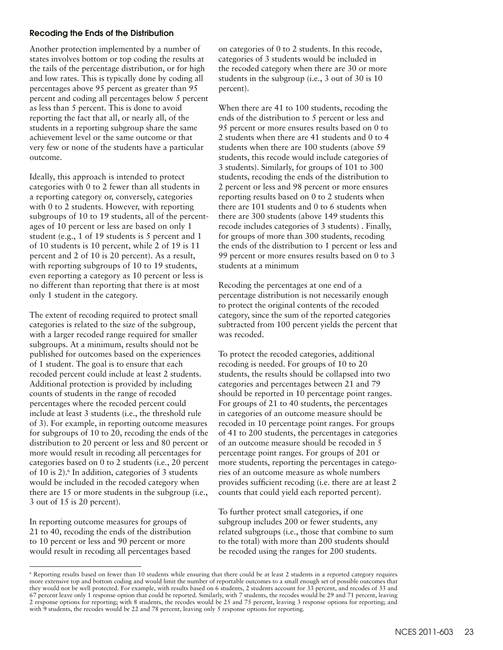#### Recoding the Ends of the Distribution

Another protection implemented by a number of states involves bottom or top coding the results at the tails of the percentage distribution, or for high and low rates. This is typically done by coding all percentages above 95 percent as greater than 95 percent and coding all percentages below 5 percent as less than 5 percent. This is done to avoid reporting the fact that all, or nearly all, of the students in a reporting subgroup share the same achievement level or the same outcome or that very few or none of the students have a particular outcome.

Ideally, this approach is intended to protect categories with 0 to 2 fewer than all students in a reporting category or, conversely, categories with 0 to 2 students. However, with reporting subgroups of 10 to 19 students, all of the percentages of 10 percent or less are based on only 1 student (e.g., 1 of 19 students is 5 percent and 1 of 10 students is 10 percent, while 2 of 19 is 11 percent and 2 of 10 is 20 percent). As a result, with reporting subgroups of 10 to 19 students, even reporting a category as 10 percent or less is no different than reporting that there is at most only 1 student in the category.

The extent of recoding required to protect small categories is related to the size of the subgroup, with a larger recoded range required for smaller subgroups. At a minimum, results should not be published for outcomes based on the experiences of 1 student. The goal is to ensure that each recoded percent could include at least 2 students. Additional protection is provided by including counts of students in the range of recoded percentages where the recoded percent could include at least 3 students (i.e., the threshold rule of 3). For example, in reporting outcome measures for subgroups of 10 to 20, recoding the ends of the distribution to 20 percent or less and 80 percent or more would result in recoding all percentages for categories based on 0 to 2 students (i.e., 20 percent of 10 is 2).<sup>6</sup> In addition, categories of 3 students would be included in the recoded category when there are 15 or more students in the subgroup (i.e., 3 out of 15 is 20 percent).

In reporting outcome measures for groups of 21 to 40, recoding the ends of the distribution to 10 percent or less and 90 percent or more would result in recoding all percentages based on categories of 0 to 2 students. In this recode, categories of 3 students would be included in the recoded category when there are 30 or more students in the subgroup (i.e., 3 out of 30 is 10 percent).

When there are 41 to 100 students, recoding the ends of the distribution to 5 percent or less and 95 percent or more ensures results based on 0 to 2 students when there are 41 students and 0 to 4 students when there are 100 students (above 59 students, this recode would include categories of 3 students). Similarly, for groups of 101 to 300 students, recoding the ends of the distribution to 2 percent or less and 98 percent or more ensures reporting results based on 0 to 2 students when there are 101 students and 0 to 6 students when there are 300 students (above 149 students this recode includes categories of 3 students) . Finally, for groups of more than 300 students, recoding the ends of the distribution to 1 percent or less and 99 percent or more ensures results based on 0 to 3 students at a minimum

Recoding the percentages at one end of a percentage distribution is not necessarily enough to protect the original contents of the recoded category, since the sum of the reported categories subtracted from 100 percent yields the percent that was recoded.

To protect the recoded categories, additional recoding is needed. For groups of 10 to 20 students, the results should be collapsed into two categories and percentages between 21 and 79 should be reported in 10 percentage point ranges. For groups of 21 to 40 students, the percentages in categories of an outcome measure should be recoded in 10 percentage point ranges. For groups of 41 to 200 students, the percentages in categories of an outcome measure should be recoded in 5 percentage point ranges. For groups of 201 or more students, reporting the percentages in categories of an outcome measure as whole numbers provides sufficient recoding (i.e. there are at least 2 counts that could yield each reported percent).

To further protect small categories, if one subgroup includes 200 or fewer students, any related subgroups (i.e., those that combine to sum to the total) with more than 200 students should be recoded using the ranges for 200 students.

<sup>6</sup> Reporting results based on fewer than 10 students while ensuring that there could be at least 2 students in a reported category requires more extensive top and bottom coding and would limit the number of reportable outcomes to a small enough set of possible outcomes that they would not be well protected. For example, with results based on 6 students, 2 students account for 33 percent, and recodes of 33 and 67 percent leave only 1 response option that could be reported. Similarly, with 7 students, the recodes would be 29 and 71 percent, leaving 2 response options for reporting; with 8 students, the recodes would be 25 and 75 percent, leaving 3 response options for reporting; and with 9 students, the recodes would be 22 and 78 percent, leaving only 5 response options for reporting.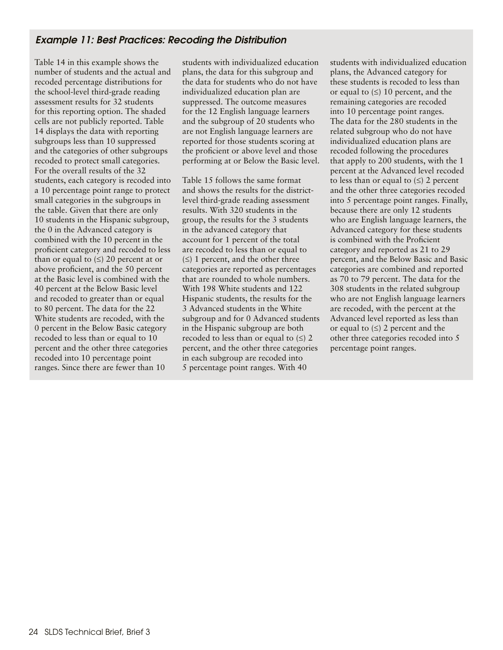## Example 11: Best Practices: Recoding the Distribution

Table 14 in this example shows the number of students and the actual and recoded percentage distributions for the school-level third-grade reading assessment results for 32 students for this reporting option. The shaded cells are not publicly reported. Table 14 displays the data with reporting subgroups less than 10 suppressed and the categories of other subgroups recoded to protect small categories. For the overall results of the 32 students, each category is recoded into a 10 percentage point range to protect small categories in the subgroups in the table. Given that there are only 10 students in the Hispanic subgroup, the 0 in the Advanced category is combined with the 10 percent in the proficient category and recoded to less than or equal to  $(\le)$  20 percent at or above proficient, and the 50 percent at the Basic level is combined with the 40 percent at the Below Basic level and recoded to greater than or equal to 80 percent. The data for the 22 White students are recoded, with the 0 percent in the Below Basic category recoded to less than or equal to 10 percent and the other three categories recoded into 10 percentage point ranges. Since there are fewer than 10

students with individualized education plans, the data for this subgroup and the data for students who do not have individualized education plan are suppressed. The outcome measures for the 12 English language learners and the subgroup of 20 students who are not English language learners are reported for those students scoring at the proficient or above level and those performing at or Below the Basic level.

Table 15 follows the same format and shows the results for the districtlevel third-grade reading assessment results. With 320 students in the group, the results for the 3 students in the advanced category that account for 1 percent of the total are recoded to less than or equal to  $(\le)$  1 percent, and the other three categories are reported as percentages that are rounded to whole numbers. With 198 White students and 122 Hispanic students, the results for the 3 Advanced students in the White subgroup and for 0 Advanced students in the Hispanic subgroup are both recoded to less than or equal to  $(\le)$  2 percent, and the other three categories in each subgroup are recoded into 5 percentage point ranges. With 40

students with individualized education plans, the Advanced category for these students is recoded to less than or equal to  $(\le)$  10 percent, and the remaining categories are recoded into 10 percentage point ranges. The data for the 280 students in the related subgroup who do not have individualized education plans are recoded following the procedures that apply to 200 students, with the 1 percent at the Advanced level recoded to less than or equal to  $(\le)$  2 percent and the other three categories recoded into 5 percentage point ranges. Finally, because there are only 12 students who are English language learners, the Advanced category for these students is combined with the Proficient category and reported as 21 to 29 percent, and the Below Basic and Basic categories are combined and reported as 70 to 79 percent. The data for the 308 students in the related subgroup who are not English language learners are recoded, with the percent at the Advanced level reported as less than or equal to  $(\le)$  2 percent and the other three categories recoded into 5 percentage point ranges.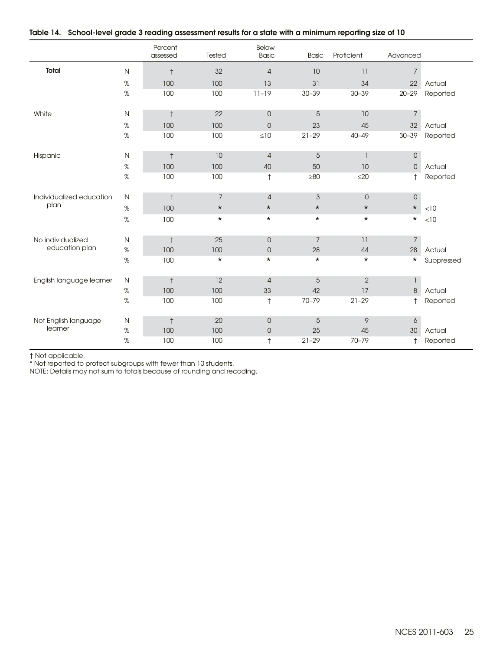|                          |              | Percent<br>assessed | Tested         | Below<br><b>Basic</b> | <b>Basic</b> | Proficient     | Advanced            |            |
|--------------------------|--------------|---------------------|----------------|-----------------------|--------------|----------------|---------------------|------------|
| Total                    | $\mathsf{N}$ | $^\dagger$          | 32             | $\overline{4}$        | 10           | 11             | $\overline{7}$      |            |
|                          | $\%$         | 100                 | 100            | 13                    | 31           | 34             | 22                  | Actual     |
|                          | $\%$         | 100                 | 100            | $11 - 19$             | $30 - 39$    | $30 - 39$      | $20 - 29$           | Reported   |
| White                    | N            | $\ddagger$          | 22             | $\mathbf 0$           | 5            | 10             | $\overline{7}$      |            |
|                          | %            | 100                 | 100            | $\mathbf 0$           | 23           | 45             | 32                  | Actual     |
|                          | $\%$         | 100                 | 100            | $\leq 10$             | $21 - 29$    | $40 - 49$      | $30 - 39$           | Reported   |
| Hispanic                 | N            | $^\dagger$          | 10             | $\overline{4}$        | $\sqrt{5}$   | 1              | $\mathsf{O}\xspace$ |            |
|                          | $\%$         | 100                 | 100            | 40                    | 50           | 10             | $\mathsf{O}\xspace$ | Actual     |
|                          | $\%$         | 100                 | 100            | $^\dagger$            | $\geq 80$    | $\leq$ 20      | $^{\dagger}$        | Reported   |
| Individualized education | $\mathsf{N}$ | $^\dagger$          | $\overline{7}$ | $\overline{4}$        | 3            | $\overline{0}$ | $\mathsf{O}\xspace$ |            |
| plan                     | $\%$         | 100                 | $\star$        | $\star$               | $\star$      | $\star$        | $\star$             | < 10       |
|                          | $\%$         | 100                 | $\star$        | $\star$               | $\star$      | $\star$        | $\star$             | < 10       |
| No individualized        | N            | $^\dagger$          | 25             | $\overline{0}$        | 7            | 11             | $7\overline{ }$     |            |
| education plan           | $\%$         | 100                 | 100            | $\mathsf{O}$          | 28           | 44             | 28                  | Actual     |
|                          | $\%$         | 100                 | $^\star$       | $\star$               | $\star$      | $\star$        | $^\star$            | Suppressed |
| English language learner | $\mathsf{N}$ | $^\dagger$          | 12             | $\overline{4}$        | 5            | $\overline{2}$ | $\mathbf{1}$        |            |
|                          | $\%$         | 100                 | 100            | 33                    | 42           | 17             | $\delta$            | Actual     |
|                          | $\%$         | 100                 | 100            | $^\dagger$            | 70-79        | $21 - 29$      | $\ddagger$          | Reported   |
| Not English language     | N            | $^\dagger$          | 20             | $\theta$              | 5            | 9              | 6                   |            |
| learner                  | $\%$         | 100                 | 100            | 0                     | 25           | 45             | 30                  | Actual     |
|                          | $\%$         | 100                 | 100            | $\dagger$             | $21 - 29$    | 70-79          | $\ddagger$          | Reported   |

#### Table 14. School-level grade 3 reading assessment results for a state with a minimum reporting size of 10

† Not applicable.

\* Not reported to protect subgroups with fewer than 10 students.

NOTE: Details may not sum to totals because of rounding and recoding.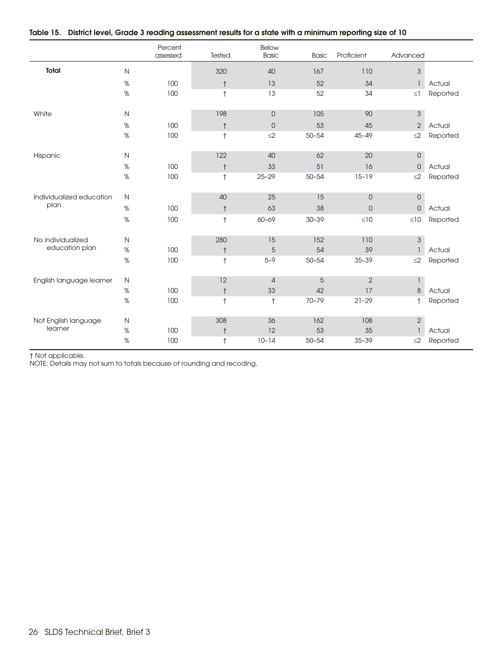|  | Table 15. District level, Grade 3 reading assessment results for a state with a minimum reporting size of 10 |
|--|--------------------------------------------------------------------------------------------------------------|
|--|--------------------------------------------------------------------------------------------------------------|

|                          |              | Percent<br>assessed | Tested     | <b>Below</b><br>Basic | <b>Basic</b>   | Proficient          | Advanced                  |          |
|--------------------------|--------------|---------------------|------------|-----------------------|----------------|---------------------|---------------------------|----------|
| <b>Total</b>             | $\mathsf{N}$ |                     | 320        | 40                    | 167            | 110                 | $\mathfrak{S}$            |          |
|                          | $\%$         | 100                 | $^\dagger$ | 13                    | 52             | 34                  | $\mathbf{1}$              | Actual   |
|                          | $\%$         | 100                 | $\ddagger$ | 13                    | 52             | 34                  | $\leq$ ]                  | Reported |
| White                    | $\hbox{N}$   |                     | 198        | $\mathsf{O}$          | 105            | 90                  | $\mathfrak{S}$            |          |
|                          | $\%$         | 100                 | $^\dagger$ | $\mathsf O$           | 53             | 45                  | $\sqrt{2}$                | Actual   |
|                          | $\%$         | 100                 | $\ddagger$ | $\leq$ 2              | $50 - 54$      | $45 - 49$           | $\leq$ 2                  | Reported |
| Hispanic                 | ${\sf N}$    |                     | 122        | 40                    | 62             | 20                  | $\mathsf{O}$              |          |
|                          | $\%$         | 100                 | $^\dagger$ | 33                    | 51             | 16                  | $\mathbf 0$               | Actual   |
|                          | $\%$         | 100                 | $\ddagger$ | $25 - 29$             | $50 - 54$      | $15 - 19$           | $\leq$ 2                  | Reported |
| Individualized education | $\mathsf N$  |                     | 40         | 25                    | 15             | $\mathsf{O}\xspace$ | $\mathsf{O}$              |          |
| plan                     | $\%$         | 100                 | $^\dagger$ | 63                    | 38             | $\mathsf{O}\xspace$ | $\mathsf{O}$              | Actual   |
|                          | $\%$         | 100                 | $^\dagger$ | 60-69                 | $30 - 39$      | $\leq10$            | $\leq 10$                 | Reported |
| No individualized        | $\mathsf{N}$ |                     | 280        | 15                    | 152            | 110                 | $\ensuremath{\mathsf{3}}$ |          |
| education plan           | $\%$         | 100                 | $\ddagger$ | 5                     | 54             | 39                  | $\overline{1}$            | Actual   |
|                          | $\%$         | 100                 | $\ddagger$ | $5 - 9$               | $50 - 54$      | $35 - 39$           | $\leq$ 2                  | Reported |
| English language learner | $\mathsf{N}$ |                     | 12         | $\sqrt{4}$            | $\overline{5}$ | $\overline{2}$      | $\mathbf{1}$              |          |
|                          | $\%$         | 100                 | $^\dagger$ | 33                    | 42             | 17                  | $\delta$                  | Actual   |
|                          | $\%$         | 100                 | $^\dagger$ | $\dagger$             | 70-79          | $21 - 29$           | $\ddagger$                | Reported |
| Not English language     | N            |                     | 308        | 36                    | 162            | 108                 | $\sqrt{2}$                |          |
| learner                  | $\%$         | 100                 | $^\dagger$ | 12                    | 53             | 35                  | $\mathbf{1}$              | Actual   |
|                          | $\%$         | 100                 | $\ddagger$ | $10 - 14$             | $50 - 54$      | $35 - 39$           | $\leq$ 2                  | Reported |

† Not applicable.

NOTE: Details may not sum to totals because of rounding and recoding.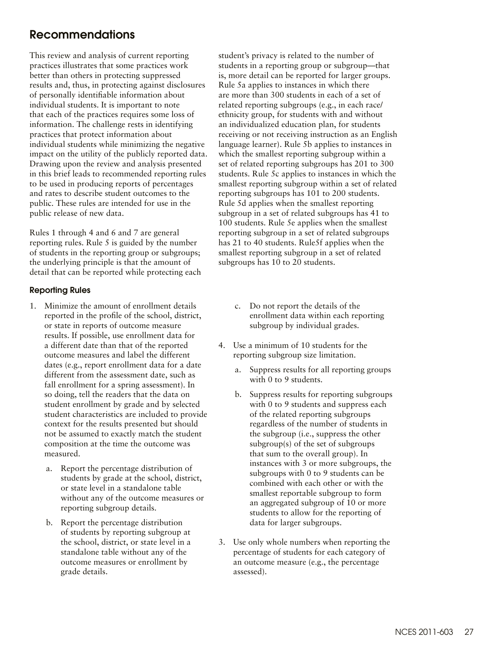## <span id="page-26-0"></span>Recommendations

This review and analysis of current reporting practices illustrates that some practices work better than others in protecting suppressed results and, thus, in protecting against disclosures of personally identifiable information about individual students. It is important to note that each of the practices requires some loss of information. The challenge rests in identifying practices that protect information about individual students while minimizing the negative impact on the utility of the publicly reported data. Drawing upon the review and analysis presented in this brief leads to recommended reporting rules to be used in producing reports of percentages and rates to describe student outcomes to the public. These rules are intended for use in the public release of new data.

Rules 1 through 4 and 6 and 7 are general reporting rules. Rule 5 is guided by the number of students in the reporting group or subgroups; the underlying principle is that the amount of detail that can be reported while protecting each

#### Reporting Rules

- 1. Minimize the amount of enrollment details reported in the profile of the school, district, or state in reports of outcome measure results. If possible, use enrollment data for a different date than that of the reported outcome measures and label the different dates (e.g., report enrollment data for a date different from the assessment date, such as fall enrollment for a spring assessment). In so doing, tell the readers that the data on student enrollment by grade and by selected student characteristics are included to provide context for the results presented but should not be assumed to exactly match the student composition at the time the outcome was measured.
	- a. Report the percentage distribution of students by grade at the school, district, or state level in a standalone table without any of the outcome measures or reporting subgroup details.
	- b. Report the percentage distribution of students by reporting subgroup at the school, district, or state level in a standalone table without any of the outcome measures or enrollment by grade details.

student's privacy is related to the number of students in a reporting group or subgroup—that is, more detail can be reported for larger groups. Rule 5a applies to instances in which there are more than 300 students in each of a set of related reporting subgroups (e.g., in each race/ ethnicity group, for students with and without an individualized education plan, for students receiving or not receiving instruction as an English language learner). Rule 5b applies to instances in which the smallest reporting subgroup within a set of related reporting subgroups has 201 to 300 students. Rule 5c applies to instances in which the smallest reporting subgroup within a set of related reporting subgroups has 101 to 200 students. Rule 5d applies when the smallest reporting subgroup in a set of related subgroups has 41 to 100 students. Rule 5e applies when the smallest reporting subgroup in a set of related subgroups has 21 to 40 students. Rule5f applies when the smallest reporting subgroup in a set of related subgroups has 10 to 20 students.

- c. Do not report the details of the enrollment data within each reporting subgroup by individual grades.
- 4. Use a minimum of 10 students for the reporting subgroup size limitation.
	- a. Suppress results for all reporting groups with 0 to 9 students.
	- b. Suppress results for reporting subgroups with 0 to 9 students and suppress each of the related reporting subgroups regardless of the number of students in the subgroup (i.e., suppress the other subgroup(s) of the set of subgroups that sum to the overall group). In instances with 3 or more subgroups, the subgroups with 0 to 9 students can be combined with each other or with the smallest reportable subgroup to form an aggregated subgroup of 10 or more students to allow for the reporting of data for larger subgroups.
- 3. Use only whole numbers when reporting the percentage of students for each category of an outcome measure (e.g., the percentage assessed).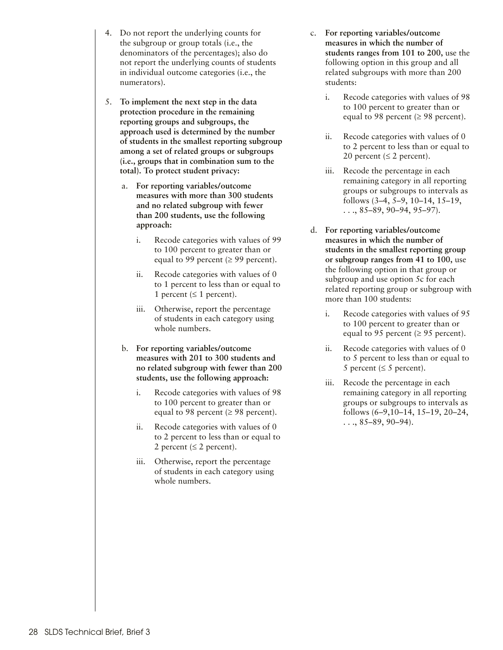- 4. Do not report the underlying counts for the subgroup or group totals (i.e., the denominators of the percentages); also do not report the underlying counts of students in individual outcome categories (i.e., the numerators).
- 5. **To implement the next step in the data protection procedure in the remaining reporting groups and subgroups, the approach used is determined by the number of students in the smallest reporting subgroup among a set of related groups or subgroups (i.e., groups that in combination sum to the total). To protect student privacy:**
	- a. **For reporting variables/outcome measures with more than 300 students and no related subgroup with fewer than 200 students, use the following approach:**
		- i. Recode categories with values of 99 to 100 percent to greater than or equal to 99 percent ( $\geq$  99 percent).
		- ii. Recode categories with values of 0 to 1 percent to less than or equal to 1 percent ( $\leq 1$  percent).
		- iii. Otherwise, report the percentage of students in each category using whole numbers.
	- b. **For reporting variables/outcome measures with 201 to 300 students and no related subgroup with fewer than 200 students, use the following approach:**
		- i. Recode categories with values of 98 to 100 percent to greater than or equal to 98 percent ( $\geq$  98 percent).
		- ii. Recode categories with values of 0 to 2 percent to less than or equal to 2 percent ( $\leq$  2 percent).
		- iii. Otherwise, report the percentage of students in each category using whole numbers.
- c. **For reporting variables/outcome measures in which the number of students ranges from 101 to 200,** use the following option in this group and all related subgroups with more than 200 students:
	- i. Recode categories with values of 98 to 100 percent to greater than or equal to 98 percent ( $\geq$  98 percent).
	- ii. Recode categories with values of 0 to 2 percent to less than or equal to 20 percent ( $\leq$  2 percent).
	- Recode the percentage in each remaining category in all reporting groups or subgroups to intervals as follows (3–4, 5–9, 10–14, 15–19,  $\ldots$ , 85–89, 90–94, 95–97).
- d. **For reporting variables/outcome measures in which the number of students in the smallest reporting group or subgroup ranges from 41 to 100,** use the following option in that group or subgroup and use option 5c for each related reporting group or subgroup with more than 100 students:
	- i. Recode categories with values of 95 to 100 percent to greater than or equal to 95 percent ( $\geq$  95 percent).
	- ii. Recode categories with values of 0 to 5 percent to less than or equal to 5 percent ( $\leq$  5 percent).
	- iii. Recode the percentage in each remaining category in all reporting groups or subgroups to intervals as follows (6–9,10–14, 15–19, 20–24,  $\ldots$ , 85–89, 90–94).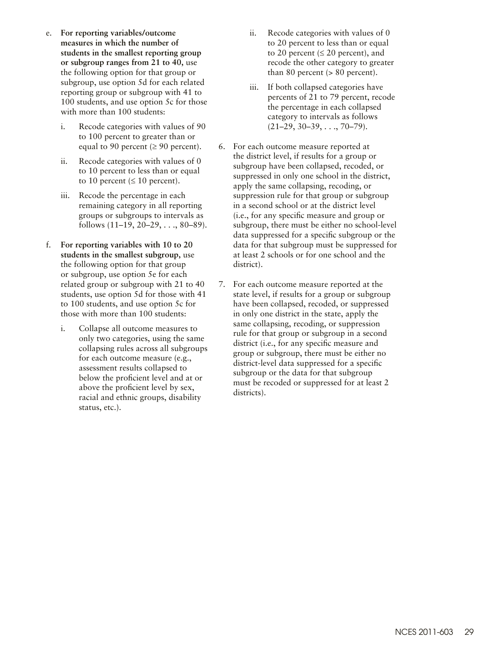- e. **For reporting variables/outcome measures in which the number of students in the smallest reporting group or subgroup ranges from 21 to 40,** use the following option for that group or subgroup, use option 5d for each related reporting group or subgroup with 41 to 100 students, and use option 5c for those with more than 100 students:
	- i. Recode categories with values of 90 to 100 percent to greater than or equal to 90 percent ( $\geq$  90 percent).
	- ii. Recode categories with values of 0 to 10 percent to less than or equal to 10 percent ( $\leq 10$  percent).
	- iii. Recode the percentage in each remaining category in all reporting groups or subgroups to intervals as follows (11–19, 20–29, . . ., 80–89).
- f. **For reporting variables with 10 to 20 students in the smallest subgroup,** use the following option for that group or subgroup, use option 5e for each related group or subgroup with 21 to 40 students, use option 5d for those with 41 to 100 students, and use option 5c for those with more than 100 students:
	- i. Collapse all outcome measures to only two categories, using the same collapsing rules across all subgroups for each outcome measure (e.g., assessment results collapsed to below the proficient level and at or above the proficient level by sex, racial and ethnic groups, disability status, etc.).
- ii. Recode categories with values of 0 to 20 percent to less than or equal to 20 percent ( $\leq$  20 percent), and recode the other category to greater than 80 percent  $(> 80$  percent).
- iii. If both collapsed categories have percents of 21 to 79 percent, recode the percentage in each collapsed category to intervals as follows  $(21–29, 30–39, \ldots, 70–79).$
- 6. For each outcome measure reported at the district level, if results for a group or subgroup have been collapsed, recoded, or suppressed in only one school in the district, apply the same collapsing, recoding, or suppression rule for that group or subgroup in a second school or at the district level (i.e., for any specific measure and group or subgroup, there must be either no school-level data suppressed for a specific subgroup or the data for that subgroup must be suppressed for at least 2 schools or for one school and the district).
- 7. For each outcome measure reported at the state level, if results for a group or subgroup have been collapsed, recoded, or suppressed in only one district in the state, apply the same collapsing, recoding, or suppression rule for that group or subgroup in a second district (i.e., for any specific measure and group or subgroup, there must be either no district-level data suppressed for a specific subgroup or the data for that subgroup must be recoded or suppressed for at least 2 districts).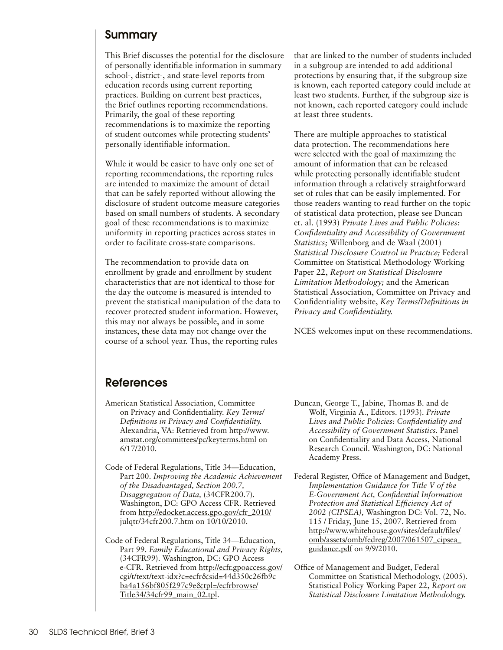## <span id="page-29-0"></span>Summary

This Brief discusses the potential for the disclosure of personally identifiable information in summary school-, district-, and state-level reports from education records using current reporting practices. Building on current best practices, the Brief outlines reporting recommendations. Primarily, the goal of these reporting recommendations is to maximize the reporting of student outcomes while protecting students' personally identifiable information.

While it would be easier to have only one set of reporting recommendations, the reporting rules are intended to maximize the amount of detail that can be safely reported without allowing the disclosure of student outcome measure categories based on small numbers of students. A secondary goal of these recommendations is to maximize uniformity in reporting practices across states in order to facilitate cross-state comparisons.

The recommendation to provide data on enrollment by grade and enrollment by student characteristics that are not identical to those for the day the outcome is measured is intended to prevent the statistical manipulation of the data to recover protected student information. However, this may not always be possible, and in some instances, these data may not change over the course of a school year. Thus, the reporting rules

that are linked to the number of students included in a subgroup are intended to add additional protections by ensuring that, if the subgroup size is known, each reported category could include at least two students. Further, if the subgroup size is not known, each reported category could include at least three students.

There are multiple approaches to statistical data protection. The recommendations here were selected with the goal of maximizing the amount of information that can be released while protecting personally identifiable student information through a relatively straightforward set of rules that can be easily implemented. For those readers wanting to read further on the topic of statistical data protection, please see Duncan et. al. (1993) *Private Lives and Public Policies: Confidentiality and Accessibility of Government Statistics;* Willenborg and de Waal (2001) *Statistical Disclosure Control in Practice;* Federal Committee on Statistical Methodology Working Paper 22, *Report on Statistical Disclosure Limitation Methodology;* and the American Statistical Association, Committee on Privacy and Confidentiality website, *Key Terms/Definitions in Privacy and Confidentiality.*

NCES welcomes input on these recommendations.

## References

- American Statistical Association, Committee on Privacy and Confidentiality. *Key Terms/ Definitions in Privacy and Confidentiality.*  Alexandria, VA: Retrieved from [http://www.](http://www.amstat.org/committees/pc/keyterms.html) [amstat.org/committees/pc/keyterms.html](http://www.amstat.org/committees/pc/keyterms.html) on 6/17/2010.
- Code of Federal Regulations, Title 34—Education, Part 200. *Improving the Academic Achievement of the Disadvantaged, Section 200.7, Disaggregation of Data,* (34CFR200.7). Washington, DC: GPO Access CFR. Retrieved from [http://edocket.access.gpo.gov/cfr\\_2010/](http://edocket.access.gpo.gov/cfr_2010/julqtr/34cfr200.7.htm) [julqtr/34cfr200.7.htm](http://edocket.access.gpo.gov/cfr_2010/julqtr/34cfr200.7.htm) on 10/10/2010.
- Code of Federal Regulations, Title 34—Education, Part 99. *Family Educational and Privacy Rights,*  (34CFR99). Washington, DC: GPO Access e-CFR. Retrieved from [http://ecfr.gpoaccess.gov/](http://ecfr.gpoaccess.gov/cgi/t/text/text-idx?c=ecfr&sid=44d350c26fb9c ba4a156bf805f297c9e&tpl=/ecfrbrowse/Title34/34cfr99_main_02.tpl) [cgi/t/text/text-idx?c=ecfr&sid=44d350c26fb9c](http://ecfr.gpoaccess.gov/cgi/t/text/text-idx?c=ecfr&sid=44d350c26fb9c ba4a156bf805f297c9e&tpl=/ecfrbrowse/Title34/34cfr99_main_02.tpl) [ba4a156bf805f297c9e&tpl=/ecfrbrowse/](http://ecfr.gpoaccess.gov/cgi/t/text/text-idx?c=ecfr&sid=44d350c26fb9c ba4a156bf805f297c9e&tpl=/ecfrbrowse/Title34/34cfr99_main_02.tpl) [Title34/34cfr99\\_main\\_02.tpl](http://ecfr.gpoaccess.gov/cgi/t/text/text-idx?c=ecfr&sid=44d350c26fb9c ba4a156bf805f297c9e&tpl=/ecfrbrowse/Title34/34cfr99_main_02.tpl).
- Duncan, George T., Jabine, Thomas B. and de Wolf, Virginia A., Editors. (1993). *Private Lives and Public Policies: Confidentiality and Accessibility of Government Statistics.* Panel on Confidentiality and Data Access, National Research Council. Washington, DC: National Academy Press.
- Federal Register, Office of Management and Budget, *Implementation Guidance for Title V of the E-Government Act, Confidential Information Protection and Statistical Efficiency Act of 2002 (CIPSEA),* Washington DC: Vol. 72, No. 115 / Friday, June 15, 2007. Retrieved from [http://www.whitehouse.gov/sites/default/files/](http://www.whitehouse.gov/sites/default/files/omb/assets/omb/fedreg/2007/061507_cipsea_guidance.pdf) [omb/assets/omb/fedreg/2007/061507\\_cipsea\\_](http://www.whitehouse.gov/sites/default/files/omb/assets/omb/fedreg/2007/061507_cipsea_guidance.pdf) [guidance.pdf](http://www.whitehouse.gov/sites/default/files/omb/assets/omb/fedreg/2007/061507_cipsea_guidance.pdf) on 9/9/2010.
- Office of Management and Budget, Federal Committee on Statistical Methodology, (2005). Statistical Policy Working Paper 22, *Report on Statistical Disclosure Limitation Methodology.*